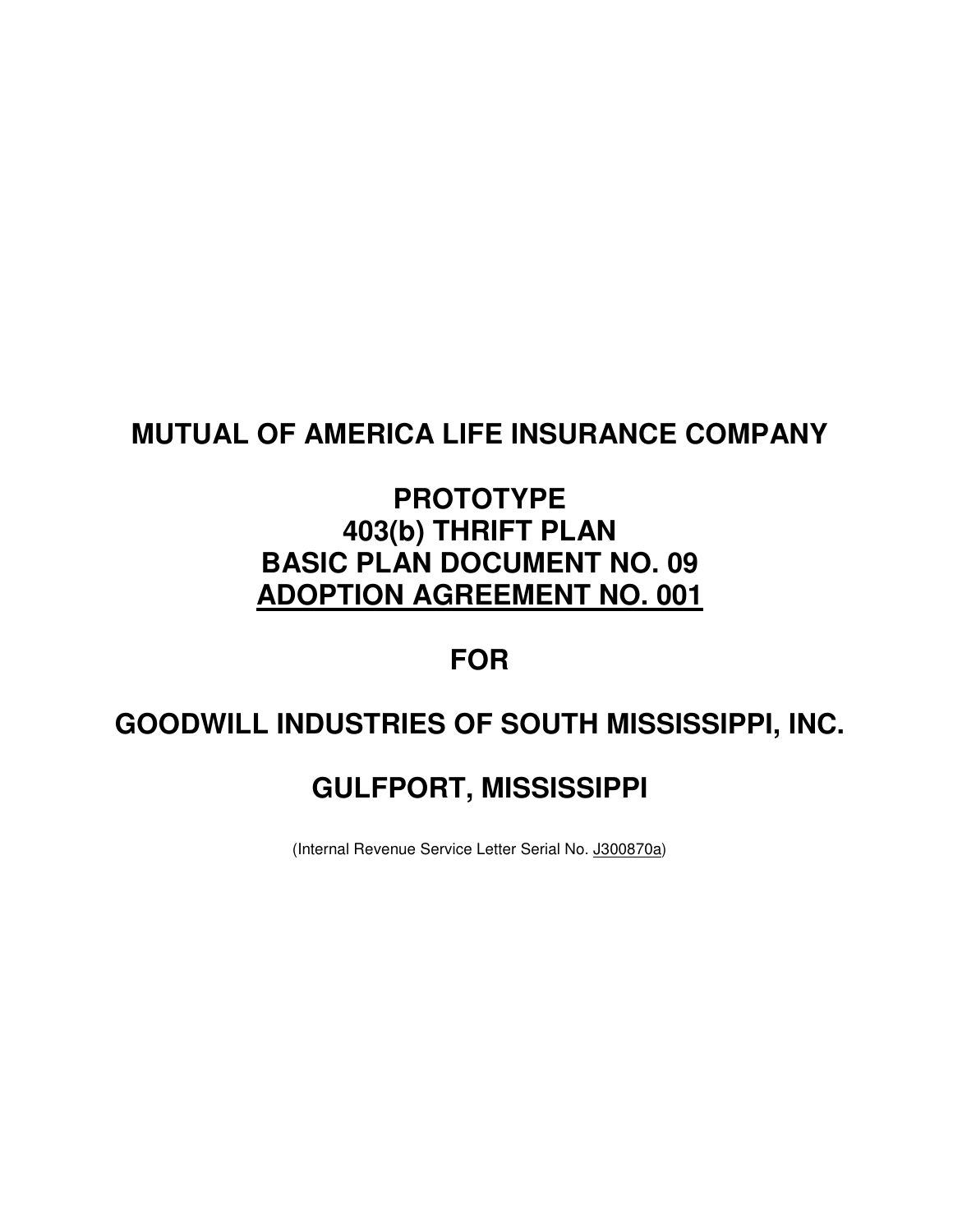# **MUTUAL OF AMERICA LIFE INSURANCE COMPANY**

# **PROTOTYPE 403(b) THRIFT PLAN BASIC PLAN DOCUMENT NO. 09 ADOPTION AGREEMENT NO. 001**

# **FOR**

# **GOODWILL INDUSTRIES OF SOUTH MISSISSIPPI, INC.**

# **GULFPORT, MISSISSIPPI**

(Internal Revenue Service Letter Serial No. J300870a)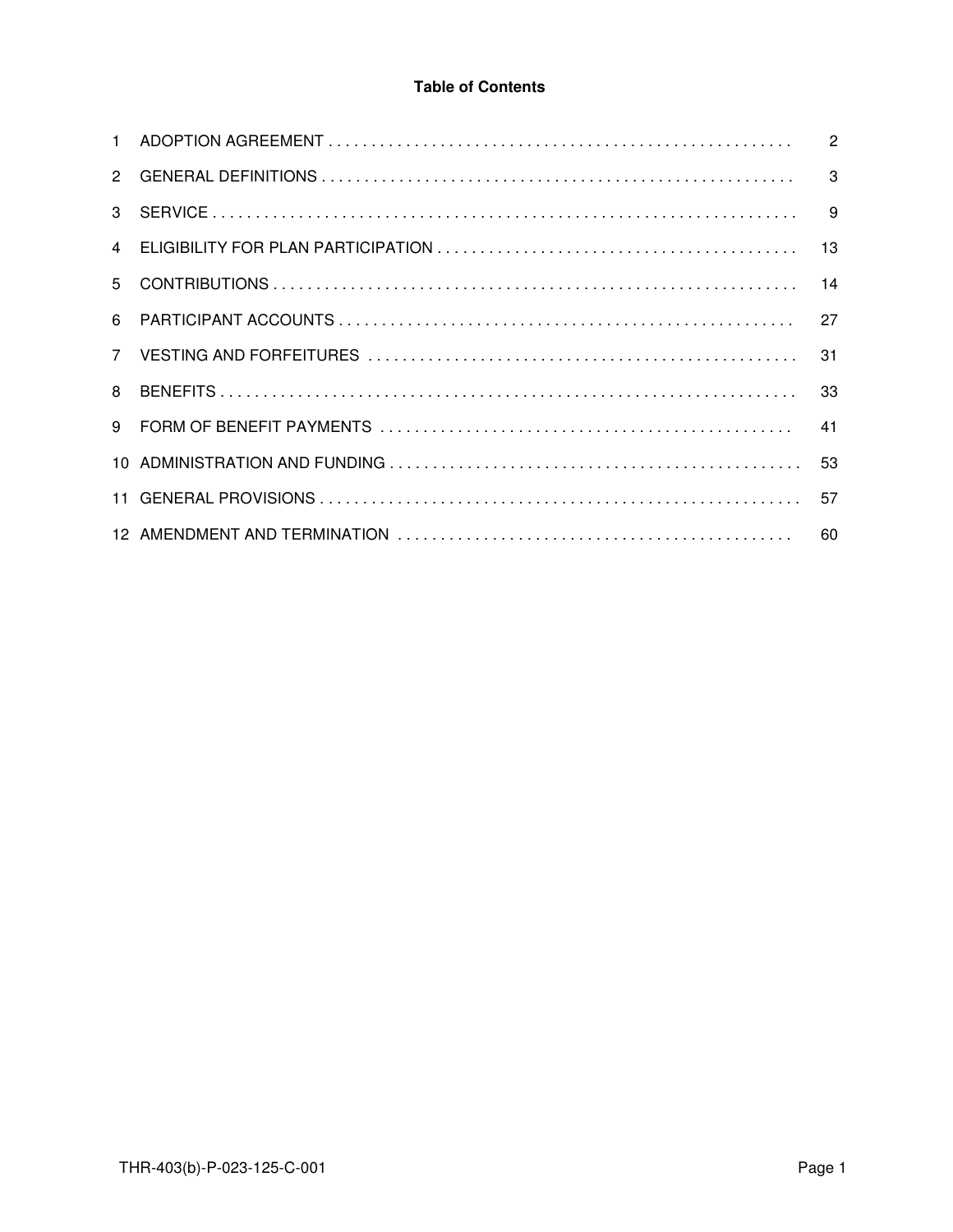# **Table of Contents**

| $\mathcal{P}$ | 3            |
|---------------|--------------|
| $\mathcal{S}$ | $\mathbf{q}$ |
|               | 13           |
|               | 14           |
| 6             | 27           |
| $7^{\circ}$   | 31           |
| 8             |              |
| 9             | 41           |
|               | 53           |
|               | 57           |
|               | 60           |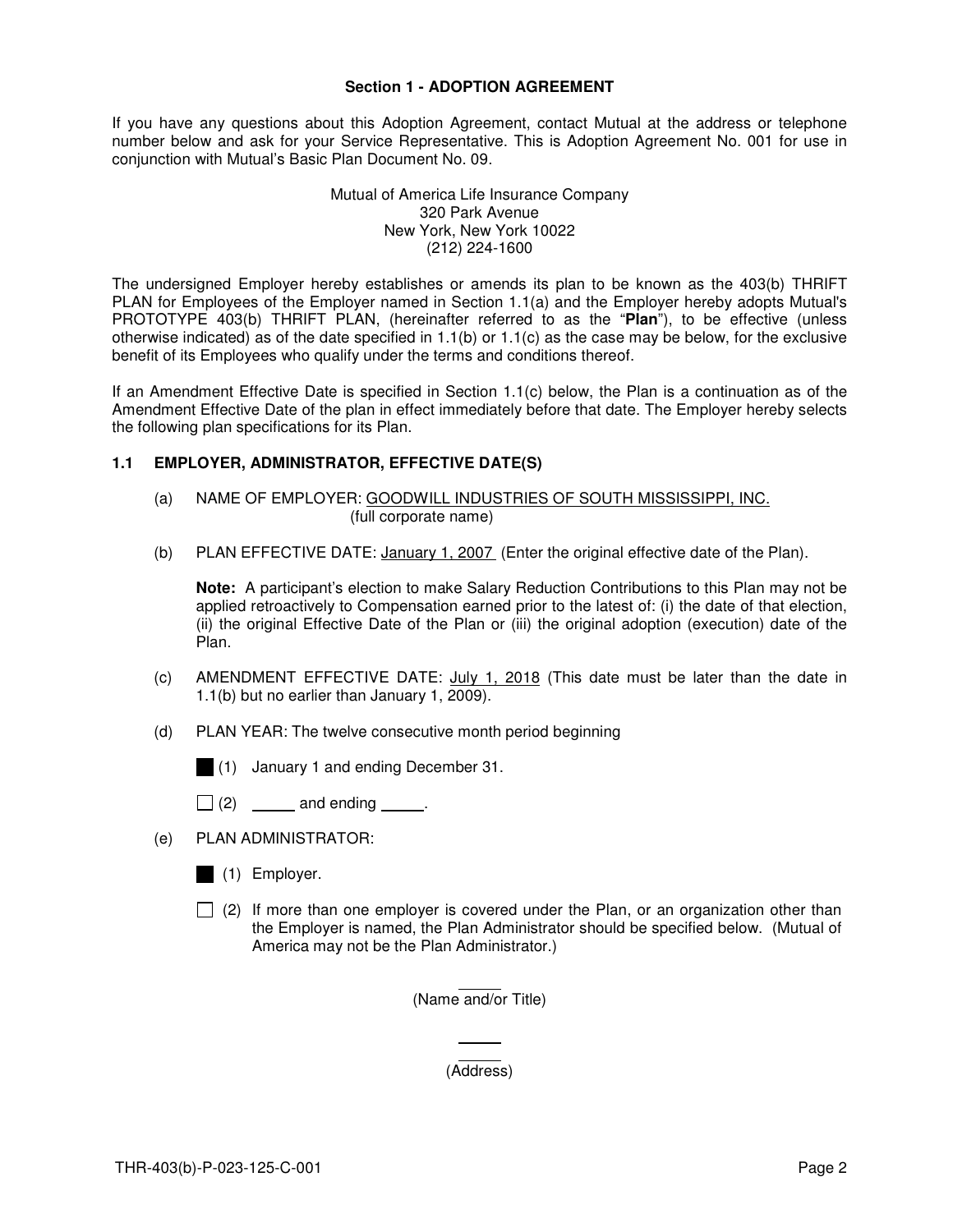#### **Section 1 - ADOPTION AGREEMENT**

If you have any questions about this Adoption Agreement, contact Mutual at the address or telephone number below and ask for your Service Representative. This is Adoption Agreement No. 001 for use in conjunction with Mutual's Basic Plan Document No. 09.

#### Mutual of America Life Insurance Company 320 Park Avenue New York, New York 10022 (212) 224-1600

The undersigned Employer hereby establishes or amends its plan to be known as the 403(b) THRIFT PLAN for Employees of the Employer named in Section 1.1(a) and the Employer hereby adopts Mutual's PROTOTYPE 403(b) THRIFT PLAN, (hereinafter referred to as the "**Plan**"), to be effective (unless otherwise indicated) as of the date specified in  $1.1(b)$  or  $1.1(c)$  as the case may be below, for the exclusive benefit of its Employees who qualify under the terms and conditions thereof.

If an Amendment Effective Date is specified in Section 1.1(c) below, the Plan is a continuation as of the Amendment Effective Date of the plan in effect immediately before that date. The Employer hereby selects the following plan specifications for its Plan.

# **1.1 EMPLOYER, ADMINISTRATOR, EFFECTIVE DATE(S)**

- (a) NAME OF EMPLOYER: GOODWILL INDUSTRIES OF SOUTH MISSISSIPPI, INC. (full corporate name)
- (b) PLAN EFFECTIVE DATE: January 1, 2007 (Enter the original effective date of the Plan).

**Note:** A participant's election to make Salary Reduction Contributions to this Plan may not be applied retroactively to Compensation earned prior to the latest of: (i) the date of that election, (ii) the original Effective Date of the Plan or (iii) the original adoption (execution) date of the Plan.

- (c) AMENDMENT EFFECTIVE DATE: July 1, 2018 (This date must be later than the date in 1.1(b) but no earlier than January 1, 2009).
- (d) PLAN YEAR: The twelve consecutive month period beginning
	- (1) January 1 and ending December 31.
	- $\Box$  (2) \_\_\_\_\_\_\_ and ending \_\_\_\_\_\_.
- (e) PLAN ADMINISTRATOR:
	- (1) Employer.
	- $\Box$  (2) If more than one employer is covered under the Plan, or an organization other than the Employer is named, the Plan Administrator should be specified below. (Mutual of America may not be the Plan Administrator.)

 $\overline{a}$ (Name and/or Title)

> L (Address)

 $\overline{a}$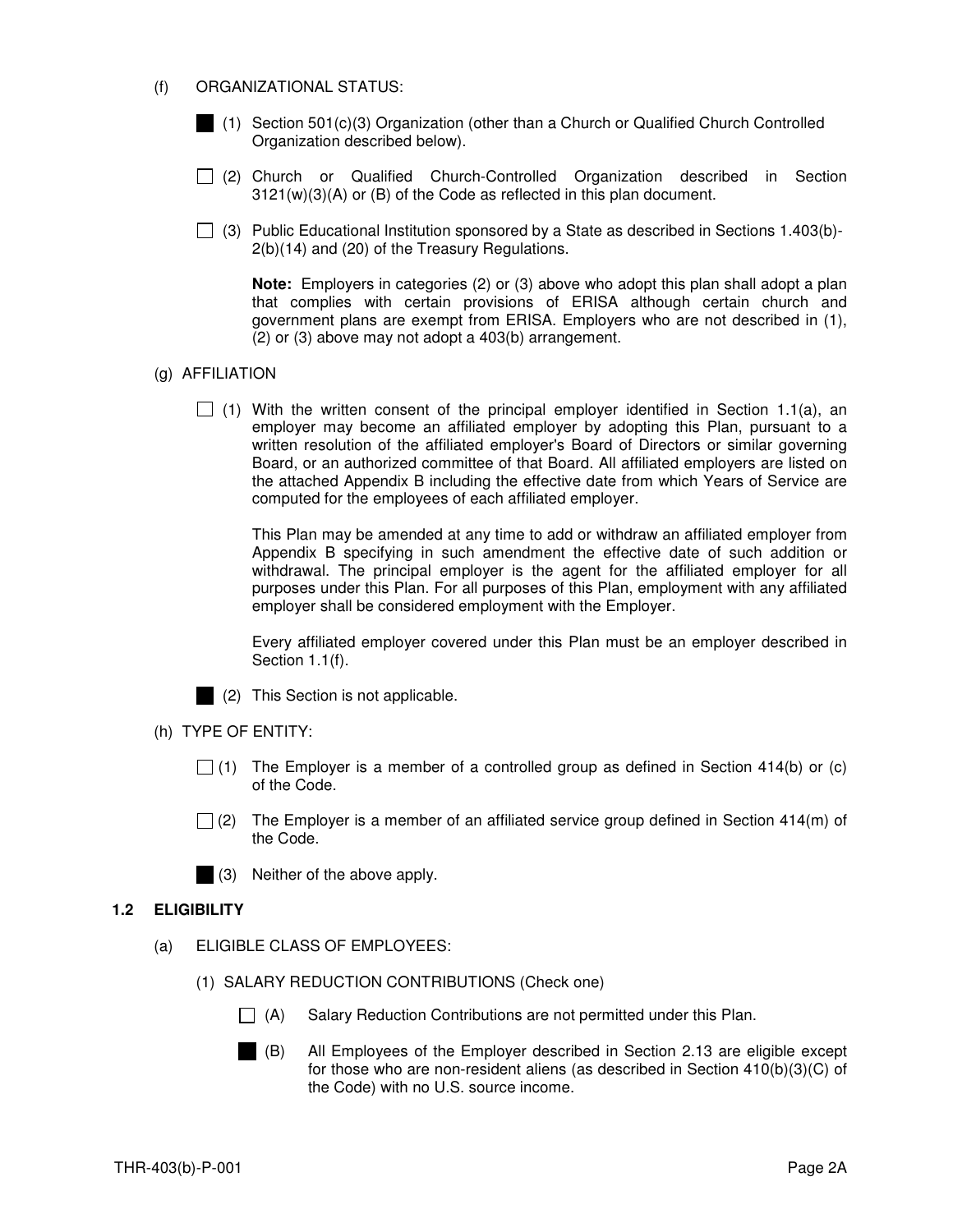#### (f) ORGANIZATIONAL STATUS:

- (1) Section 501(c)(3) Organization (other than a Church or Qualified Church Controlled Organization described below).
- (2) Church or Qualified Church-Controlled Organization described in Section 3121(w)(3)(A) or (B) of the Code as reflected in this plan document.
- (3) Public Educational Institution sponsored by a State as described in Sections 1.403(b)-2(b)(14) and (20) of the Treasury Regulations.

**Note:** Employers in categories (2) or (3) above who adopt this plan shall adopt a plan that complies with certain provisions of ERISA although certain church and government plans are exempt from ERISA. Employers who are not described in (1), (2) or (3) above may not adopt a 403(b) arrangement.

#### (g) AFFILIATION

 $\Box$  (1) With the written consent of the principal employer identified in Section 1.1(a), an employer may become an affiliated employer by adopting this Plan, pursuant to a written resolution of the affiliated employer's Board of Directors or similar governing Board, or an authorized committee of that Board. All affiliated employers are listed on the attached Appendix B including the effective date from which Years of Service are computed for the employees of each affiliated employer.

This Plan may be amended at any time to add or withdraw an affiliated employer from Appendix B specifying in such amendment the effective date of such addition or withdrawal. The principal employer is the agent for the affiliated employer for all purposes under this Plan. For all purposes of this Plan, employment with any affiliated employer shall be considered employment with the Employer.

Every affiliated employer covered under this Plan must be an employer described in Section 1.1(f).



(2) This Section is not applicable.

- (h) TYPE OF ENTITY:
	- $\Box$  (1) The Employer is a member of a controlled group as defined in Section 414(b) or (c) of the Code.
	- $\Box$  (2) The Employer is a member of an affiliated service group defined in Section 414(m) of the Code.

(3) Neither of the above apply.

# **1.2 ELIGIBILITY**

- (a) ELIGIBLE CLASS OF EMPLOYEES:
	- (1) SALARY REDUCTION CONTRIBUTIONS (Check one)
		- $\Box$  (A) Salary Reduction Contributions are not permitted under this Plan.
		- (B) All Employees of the Employer described in Section 2.13 are eligible except for those who are non-resident aliens (as described in Section 410(b)(3)(C) of the Code) with no U.S. source income.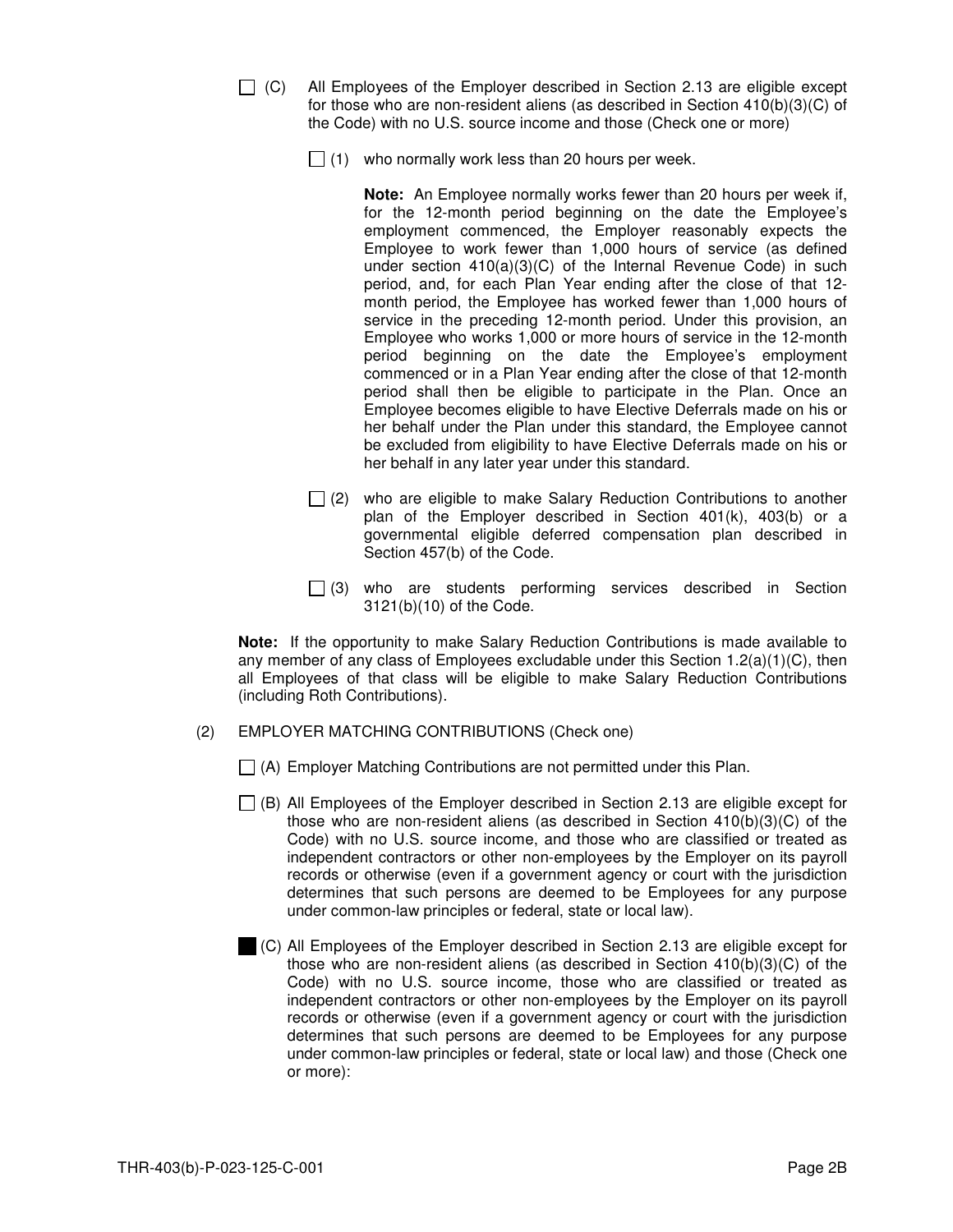|--|--|

- All Employees of the Employer described in Section 2.13 are eligible except for those who are non-resident aliens (as described in Section 410(b)(3)(C) of the Code) with no U.S. source income and those (Check one or more)
	- $\Box$  (1) who normally work less than 20 hours per week.

**Note:** An Employee normally works fewer than 20 hours per week if, for the 12-month period beginning on the date the Employee's employment commenced, the Employer reasonably expects the Employee to work fewer than 1,000 hours of service (as defined under section 410(a)(3)(C) of the Internal Revenue Code) in such period, and, for each Plan Year ending after the close of that 12 month period, the Employee has worked fewer than 1,000 hours of service in the preceding 12-month period. Under this provision, an Employee who works 1,000 or more hours of service in the 12-month period beginning on the date the Employee's employment commenced or in a Plan Year ending after the close of that 12-month period shall then be eligible to participate in the Plan. Once an Employee becomes eligible to have Elective Deferrals made on his or her behalf under the Plan under this standard, the Employee cannot be excluded from eligibility to have Elective Deferrals made on his or her behalf in any later year under this standard.

- $\Box$  (2) who are eligible to make Salary Reduction Contributions to another plan of the Employer described in Section 401(k), 403(b) or a governmental eligible deferred compensation plan described in Section 457(b) of the Code.
- $\Box$  (3) who are students performing services described in Section 3121(b)(10) of the Code.

**Note:** If the opportunity to make Salary Reduction Contributions is made available to any member of any class of Employees excludable under this Section  $1.2(a)(1)(C)$ , then all Employees of that class will be eligible to make Salary Reduction Contributions (including Roth Contributions).

(2) EMPLOYER MATCHING CONTRIBUTIONS (Check one)

 $\Box$  (A) Employer Matching Contributions are not permitted under this Plan.

- $\Box$  (B) All Employees of the Employer described in Section 2.13 are eligible except for those who are non-resident aliens (as described in Section 410(b)(3)(C) of the Code) with no U.S. source income, and those who are classified or treated as independent contractors or other non-employees by the Employer on its payroll records or otherwise (even if a government agency or court with the jurisdiction determines that such persons are deemed to be Employees for any purpose under common-law principles or federal, state or local law).
- (C) All Employees of the Employer described in Section 2.13 are eligible except for those who are non-resident aliens (as described in Section 410(b)(3)(C) of the Code) with no U.S. source income, those who are classified or treated as independent contractors or other non-employees by the Employer on its payroll records or otherwise (even if a government agency or court with the jurisdiction determines that such persons are deemed to be Employees for any purpose under common-law principles or federal, state or local law) and those (Check one or more):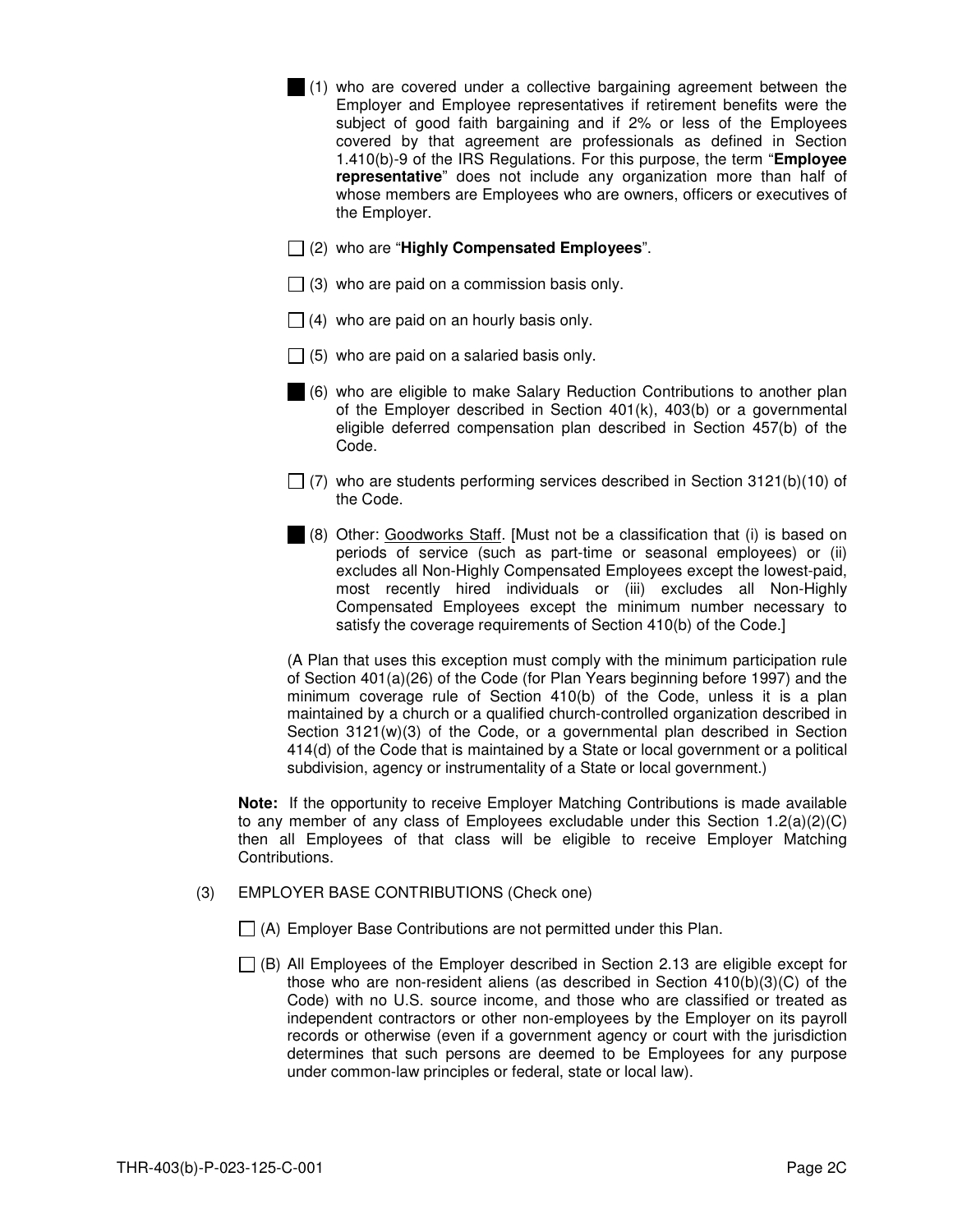- (1) who are covered under a collective bargaining agreement between the Employer and Employee representatives if retirement benefits were the subject of good faith bargaining and if 2% or less of the Employees covered by that agreement are professionals as defined in Section 1.410(b)-9 of the IRS Regulations. For this purpose, the term "**Employee representative**" does not include any organization more than half of whose members are Employees who are owners, officers or executives of the Employer.
- (2) who are "**Highly Compensated Employees**".
- $\Box$  (3) who are paid on a commission basis only.
- $\Box$  (4) who are paid on an hourly basis only.
- $\Box$  (5) who are paid on a salaried basis only.
- (6) who are eligible to make Salary Reduction Contributions to another plan of the Employer described in Section 401(k), 403(b) or a governmental eligible deferred compensation plan described in Section 457(b) of the Code.
- $\Box$  (7) who are students performing services described in Section 3121(b)(10) of the Code.
- (8) Other: Goodworks Staff. [Must not be a classification that (i) is based on periods of service (such as part-time or seasonal employees) or (ii) excludes all Non-Highly Compensated Employees except the lowest-paid, most recently hired individuals or (iii) excludes all Non-Highly Compensated Employees except the minimum number necessary to satisfy the coverage requirements of Section 410(b) of the Code.]

(A Plan that uses this exception must comply with the minimum participation rule of Section 401(a)(26) of the Code (for Plan Years beginning before 1997) and the minimum coverage rule of Section 410(b) of the Code, unless it is a plan maintained by a church or a qualified church-controlled organization described in Section  $3121(w)(3)$  of the Code, or a governmental plan described in Section 414(d) of the Code that is maintained by a State or local government or a political subdivision, agency or instrumentality of a State or local government.)

**Note:** If the opportunity to receive Employer Matching Contributions is made available to any member of any class of Employees excludable under this Section  $1.2(a)(2)(C)$ then all Employees of that class will be eligible to receive Employer Matching Contributions.

- (3) EMPLOYER BASE CONTRIBUTIONS (Check one)
	- $\Box$  (A) Employer Base Contributions are not permitted under this Plan.
	- $\Box$  (B) All Employees of the Employer described in Section 2.13 are eligible except for those who are non-resident aliens (as described in Section 410(b)(3)(C) of the Code) with no U.S. source income, and those who are classified or treated as independent contractors or other non-employees by the Employer on its payroll records or otherwise (even if a government agency or court with the jurisdiction determines that such persons are deemed to be Employees for any purpose under common-law principles or federal, state or local law).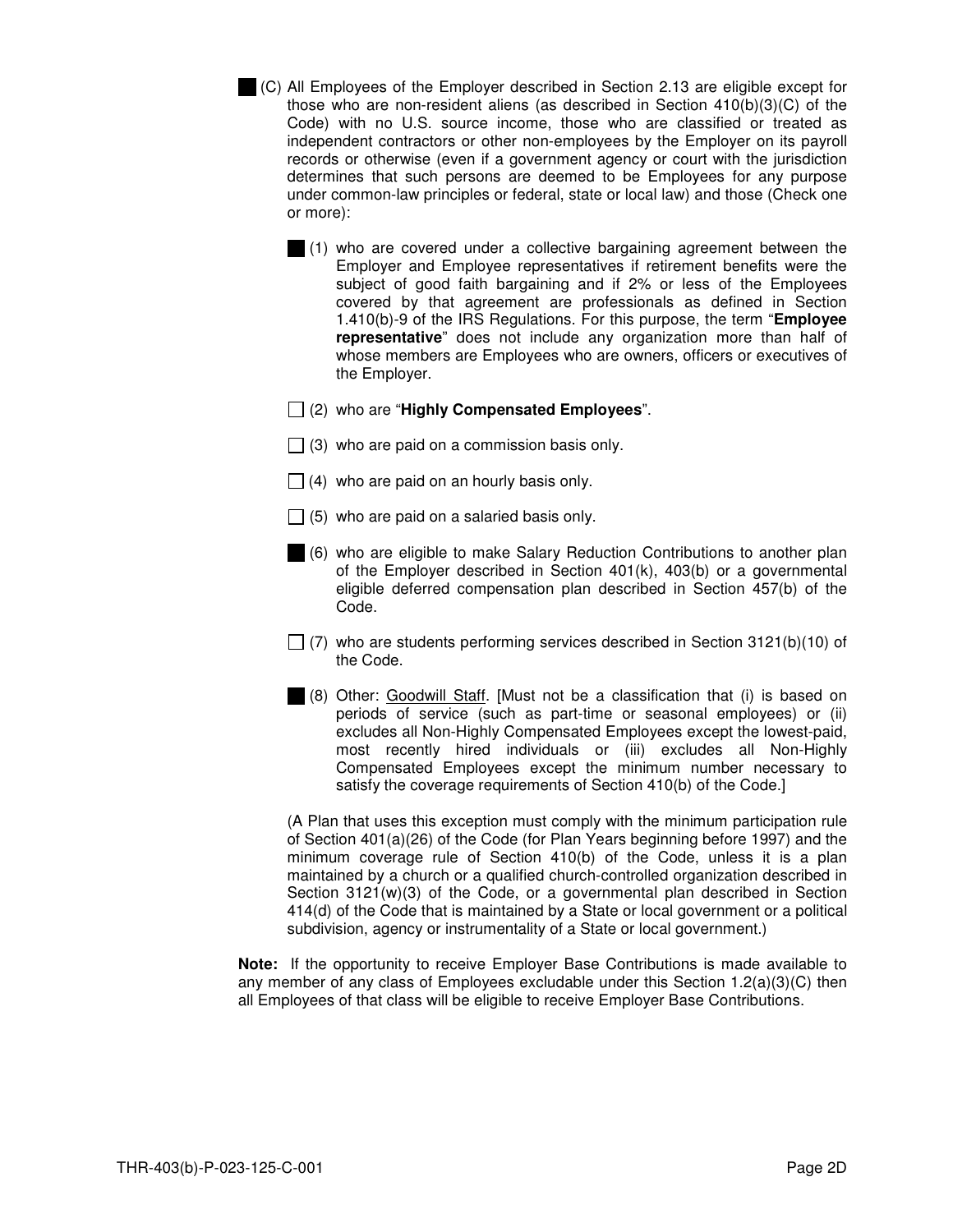- (C) All Employees of the Employer described in Section 2.13 are eligible except for those who are non-resident aliens (as described in Section 410(b)(3)(C) of the Code) with no U.S. source income, those who are classified or treated as independent contractors or other non-employees by the Employer on its payroll records or otherwise (even if a government agency or court with the jurisdiction determines that such persons are deemed to be Employees for any purpose under common-law principles or federal, state or local law) and those (Check one or more):
	- (1) who are covered under a collective bargaining agreement between the Employer and Employee representatives if retirement benefits were the subject of good faith bargaining and if 2% or less of the Employees covered by that agreement are professionals as defined in Section 1.410(b)-9 of the IRS Regulations. For this purpose, the term "**Employee representative**" does not include any organization more than half of whose members are Employees who are owners, officers or executives of the Employer.
	- (2) who are "**Highly Compensated Employees**".
	- $\Box$  (3) who are paid on a commission basis only.
	- $\Box$  (4) who are paid on an hourly basis only.
	- $\Box$  (5) who are paid on a salaried basis only.
	- (6) who are eligible to make Salary Reduction Contributions to another plan of the Employer described in Section 401(k), 403(b) or a governmental eligible deferred compensation plan described in Section 457(b) of the Code.
	- $\Box$  (7) who are students performing services described in Section 3121(b)(10) of the Code.
	- (8) Other: Goodwill Staff. [Must not be a classification that (i) is based on periods of service (such as part-time or seasonal employees) or (ii) excludes all Non-Highly Compensated Employees except the lowest-paid, most recently hired individuals or (iii) excludes all Non-Highly Compensated Employees except the minimum number necessary to satisfy the coverage requirements of Section 410(b) of the Code.]

(A Plan that uses this exception must comply with the minimum participation rule of Section 401(a)(26) of the Code (for Plan Years beginning before 1997) and the minimum coverage rule of Section 410(b) of the Code, unless it is a plan maintained by a church or a qualified church-controlled organization described in Section  $3121(w)(3)$  of the Code, or a governmental plan described in Section 414(d) of the Code that is maintained by a State or local government or a political subdivision, agency or instrumentality of a State or local government.)

**Note:** If the opportunity to receive Employer Base Contributions is made available to any member of any class of Employees excludable under this Section 1.2(a)(3)(C) then all Employees of that class will be eligible to receive Employer Base Contributions.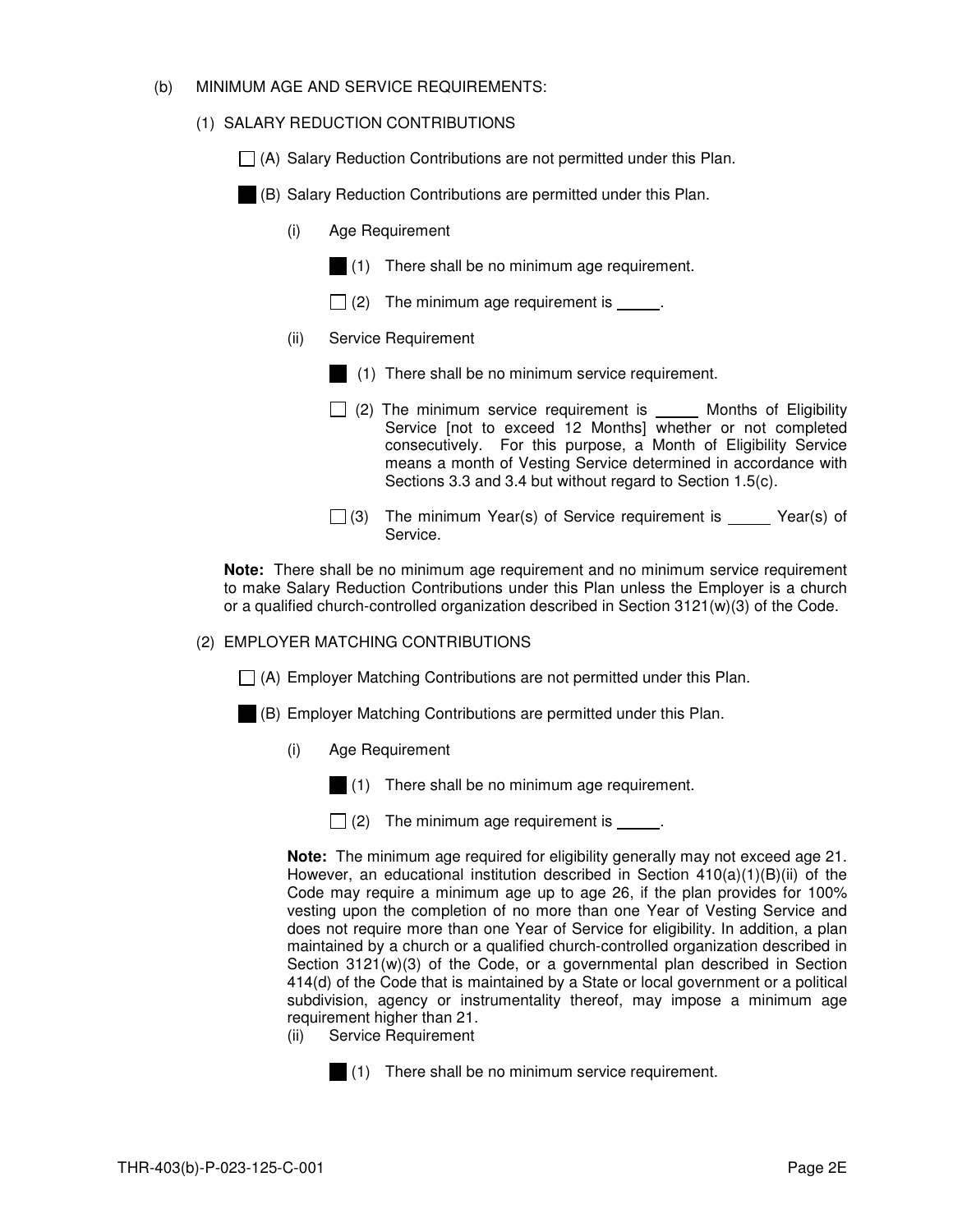#### (b) MINIMUM AGE AND SERVICE REQUIREMENTS:

# (1) SALARY REDUCTION CONTRIBUTIONS

 $\Box$  (A) Salary Reduction Contributions are not permitted under this Plan.

(B) Salary Reduction Contributions are permitted under this Plan.

- (i) Age Requirement
	- (1) There shall be no minimum age requirement.
	- $\Box$  (2) The minimum age requirement is  $\Box$
- (ii) Service Requirement
	- (1) There shall be no minimum service requirement.
	- $\Box$  (2) The minimum service requirement is  $\Box$  Months of Eligibility Service [not to exceed 12 Months] whether or not completed consecutively. For this purpose, a Month of Eligibility Service means a month of Vesting Service determined in accordance with Sections 3.3 and 3.4 but without regard to Section 1.5(c).
	- $\Box$  (3) The minimum Year(s) of Service requirement is \_\_\_\_\_ Year(s) of Service.

**Note:** There shall be no minimum age requirement and no minimum service requirement to make Salary Reduction Contributions under this Plan unless the Employer is a church or a qualified church-controlled organization described in Section 3121(w)(3) of the Code.

#### (2) EMPLOYER MATCHING CONTRIBUTIONS

 $\Box$  (A) Employer Matching Contributions are not permitted under this Plan.

- (B) Employer Matching Contributions are permitted under this Plan.
	- (i) Age Requirement
		- (1) There shall be no minimum age requirement.
		- $\Box$  (2) The minimum age requirement is \_\_\_\_\_.

**Note:** The minimum age required for eligibility generally may not exceed age 21. However, an educational institution described in Section  $410(a)(1)(B)(ii)$  of the Code may require a minimum age up to age 26, if the plan provides for 100% vesting upon the completion of no more than one Year of Vesting Service and does not require more than one Year of Service for eligibility. In addition, a plan maintained by a church or a qualified church-controlled organization described in Section 3121(w)(3) of the Code, or a governmental plan described in Section 414(d) of the Code that is maintained by a State or local government or a political subdivision, agency or instrumentality thereof, may impose a minimum age requirement higher than 21.

(ii) Service Requirement



(1) There shall be no minimum service requirement.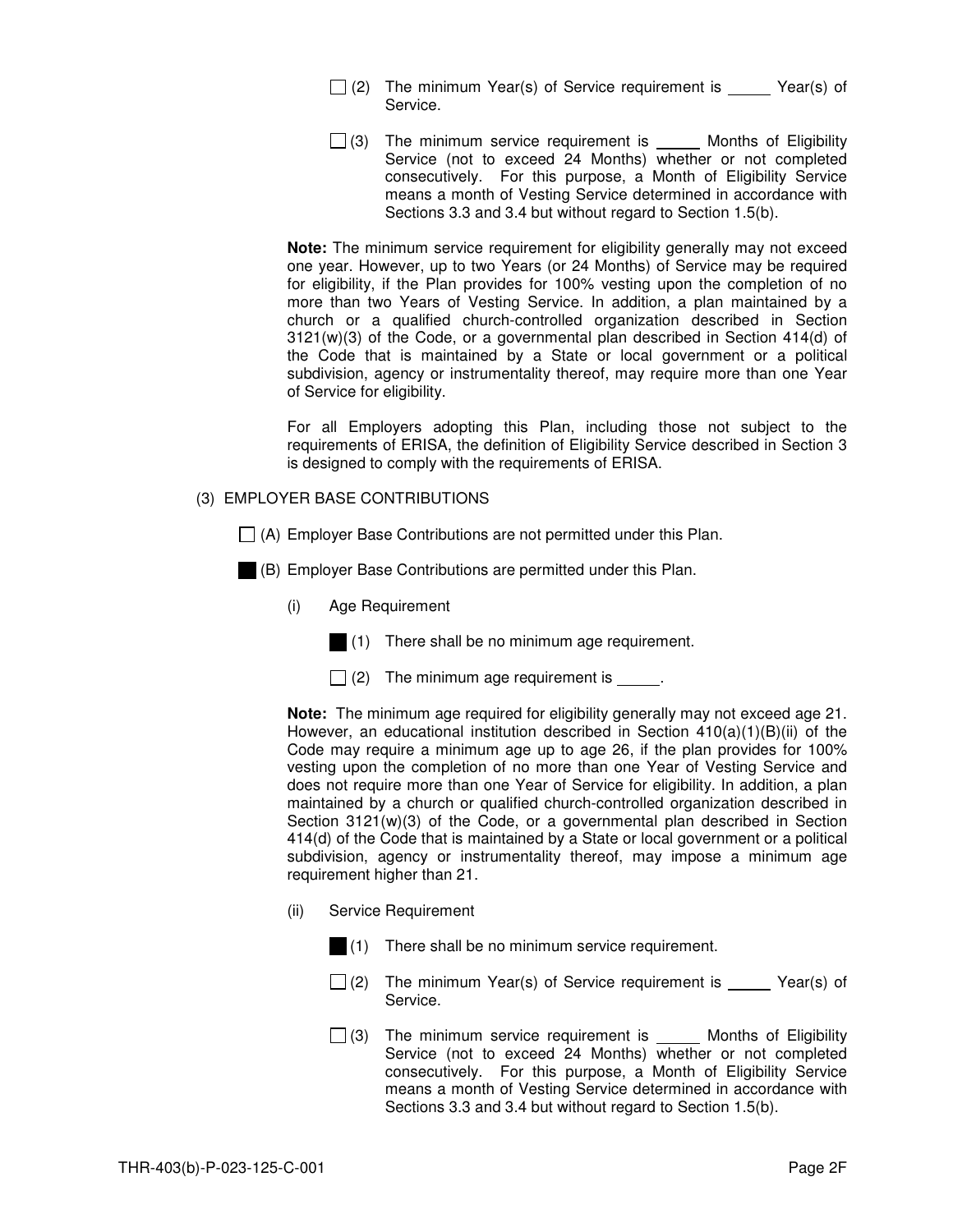- $\Box$  (2) The minimum Year(s) of Service requirement is Year(s) of Service.
- $\Box$  (3) The minimum service requirement is  $\Box$  Months of Eligibility Service (not to exceed 24 Months) whether or not completed consecutively. For this purpose, a Month of Eligibility Service means a month of Vesting Service determined in accordance with Sections 3.3 and 3.4 but without regard to Section 1.5(b).

**Note:** The minimum service requirement for eligibility generally may not exceed one year. However, up to two Years (or 24 Months) of Service may be required for eligibility, if the Plan provides for 100% vesting upon the completion of no more than two Years of Vesting Service. In addition, a plan maintained by a church or a qualified church-controlled organization described in Section 3121(w)(3) of the Code, or a governmental plan described in Section 414(d) of the Code that is maintained by a State or local government or a political subdivision, agency or instrumentality thereof, may require more than one Year of Service for eligibility.

For all Employers adopting this Plan, including those not subject to the requirements of ERISA, the definition of Eligibility Service described in Section 3 is designed to comply with the requirements of ERISA.

#### (3) EMPLOYER BASE CONTRIBUTIONS

- $\Box$  (A) Employer Base Contributions are not permitted under this Plan.
- (B) Employer Base Contributions are permitted under this Plan.
	- (i) Age Requirement
		- (1) There shall be no minimum age requirement.
		- $\Box$  (2) The minimum age requirement is  $\Box$

**Note:** The minimum age required for eligibility generally may not exceed age 21. However, an educational institution described in Section  $410(a)(1)(B)(ii)$  of the Code may require a minimum age up to age 26, if the plan provides for 100% vesting upon the completion of no more than one Year of Vesting Service and does not require more than one Year of Service for eligibility. In addition, a plan maintained by a church or qualified church-controlled organization described in Section 3121(w)(3) of the Code, or a governmental plan described in Section 414(d) of the Code that is maintained by a State or local government or a political subdivision, agency or instrumentality thereof, may impose a minimum age requirement higher than 21.

- (ii) Service Requirement
	- (1) There shall be no minimum service requirement.
	- $\Box$  (2) The minimum Year(s) of Service requirement is Year(s) of Service.
	- $\Box$  (3) The minimum service requirement is  $\Box$  Months of Eligibility Service (not to exceed 24 Months) whether or not completed consecutively. For this purpose, a Month of Eligibility Service means a month of Vesting Service determined in accordance with Sections 3.3 and 3.4 but without regard to Section 1.5(b).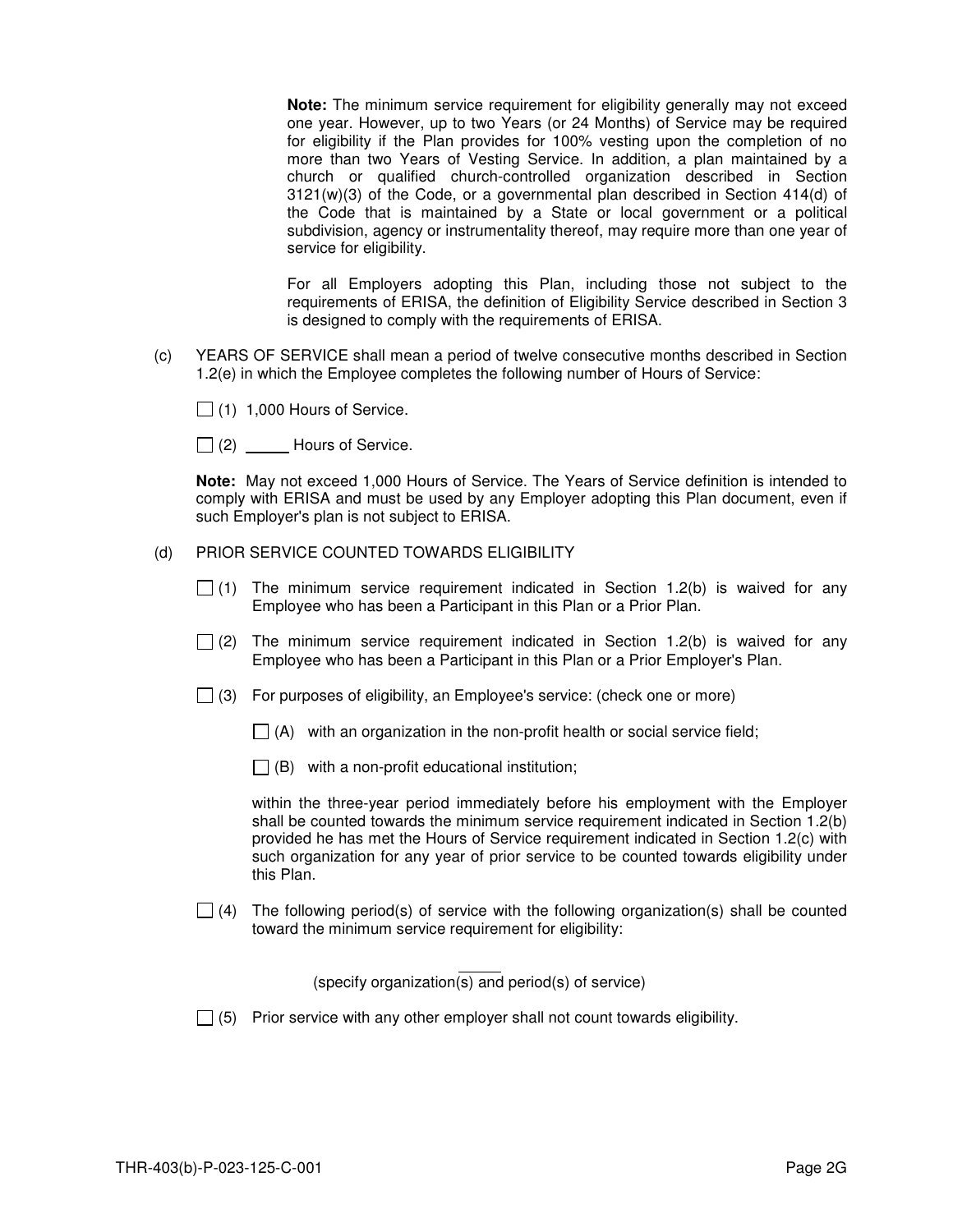**Note:** The minimum service requirement for eligibility generally may not exceed one year. However, up to two Years (or 24 Months) of Service may be required for eligibility if the Plan provides for 100% vesting upon the completion of no more than two Years of Vesting Service. In addition, a plan maintained by a church or qualified church-controlled organization described in Section  $3121(w)(3)$  of the Code, or a governmental plan described in Section 414(d) of the Code that is maintained by a State or local government or a political subdivision, agency or instrumentality thereof, may require more than one year of service for eligibility.

For all Employers adopting this Plan, including those not subject to the requirements of ERISA, the definition of Eligibility Service described in Section 3 is designed to comply with the requirements of ERISA.

- (c) YEARS OF SERVICE shall mean a period of twelve consecutive months described in Section 1.2(e) in which the Employee completes the following number of Hours of Service:
	- $\Box$  (1) 1,000 Hours of Service.
	- $\Box$  (2) \_\_\_\_\_\_ Hours of Service.

**Note:** May not exceed 1,000 Hours of Service. The Years of Service definition is intended to comply with ERISA and must be used by any Employer adopting this Plan document, even if such Employer's plan is not subject to ERISA.

- (d) PRIOR SERVICE COUNTED TOWARDS ELIGIBILITY
	- $\Box$  (1) The minimum service requirement indicated in Section 1.2(b) is waived for any Employee who has been a Participant in this Plan or a Prior Plan.
	- $\Box$  (2) The minimum service requirement indicated in Section 1.2(b) is waived for any Employee who has been a Participant in this Plan or a Prior Employer's Plan.
	- $\Box$  (3) For purposes of eligibility, an Employee's service: (check one or more)
		- $\Box$  (A) with an organization in the non-profit health or social service field;
		- $\Box$  (B) with a non-profit educational institution;

within the three-year period immediately before his employment with the Employer shall be counted towards the minimum service requirement indicated in Section 1.2(b) provided he has met the Hours of Service requirement indicated in Section 1.2(c) with such organization for any year of prior service to be counted towards eligibility under this Plan.

 $\Box$  (4) The following period(s) of service with the following organization(s) shall be counted toward the minimum service requirement for eligibility:

(specify organization(s) and period(s) of service)

 $\Box$  (5) Prior service with any other employer shall not count towards eligibility.

L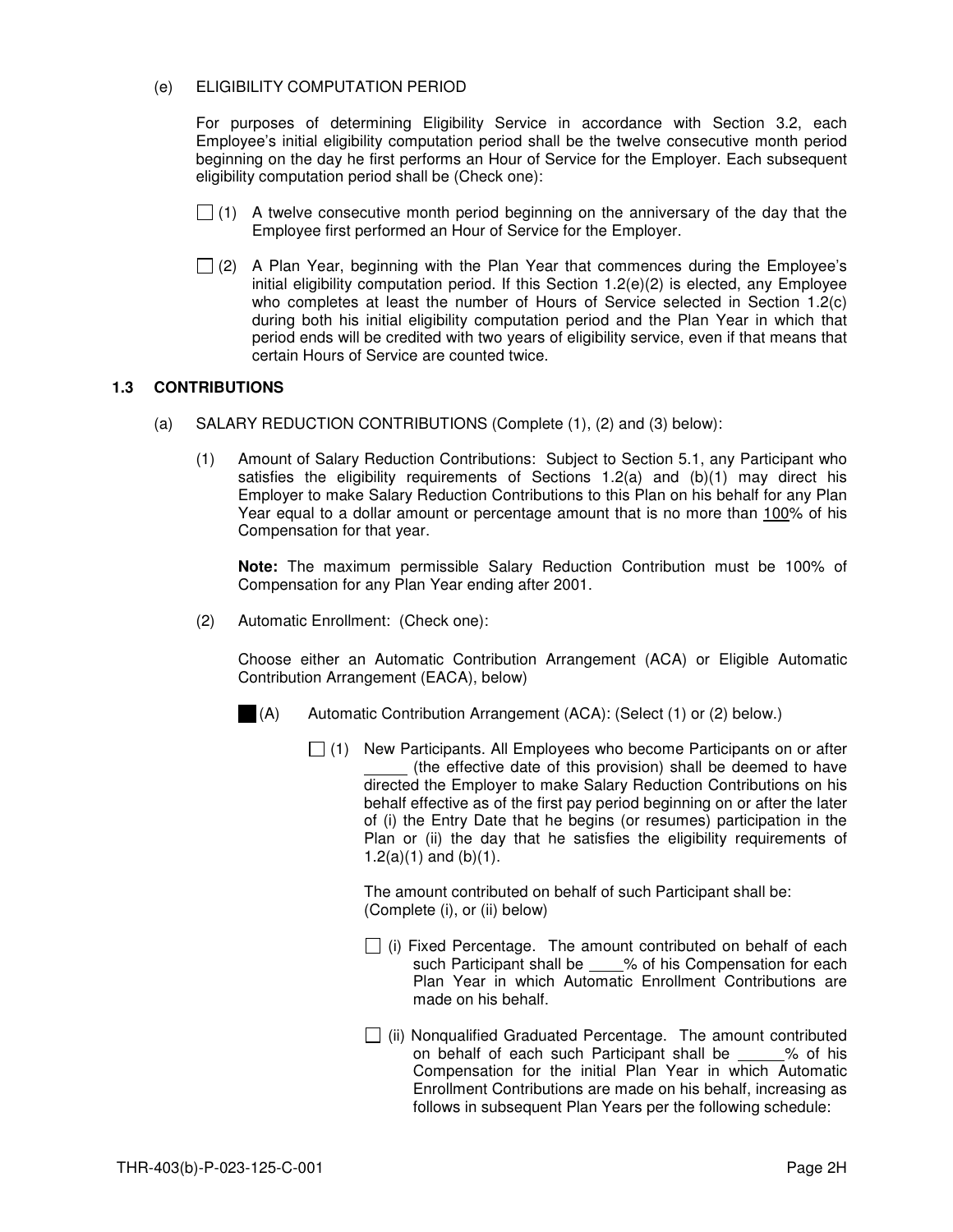#### (e) ELIGIBILITY COMPUTATION PERIOD

For purposes of determining Eligibility Service in accordance with Section 3.2, each Employee's initial eligibility computation period shall be the twelve consecutive month period beginning on the day he first performs an Hour of Service for the Employer. Each subsequent eligibility computation period shall be (Check one):

- $\Box$  (1) A twelve consecutive month period beginning on the anniversary of the day that the Employee first performed an Hour of Service for the Employer.
- $\Box$  (2) A Plan Year, beginning with the Plan Year that commences during the Employee's initial eligibility computation period. If this Section  $1.2(e)(2)$  is elected, any Employee who completes at least the number of Hours of Service selected in Section 1.2(c) during both his initial eligibility computation period and the Plan Year in which that period ends will be credited with two years of eligibility service, even if that means that certain Hours of Service are counted twice.

# **1.3 CONTRIBUTIONS**

- (a) SALARY REDUCTION CONTRIBUTIONS (Complete (1), (2) and (3) below):
	- (1) Amount of Salary Reduction Contributions: Subject to Section 5.1, any Participant who satisfies the eligibility requirements of Sections  $1.2(a)$  and  $(b)(1)$  may direct his Employer to make Salary Reduction Contributions to this Plan on his behalf for any Plan Year equal to a dollar amount or percentage amount that is no more than 100% of his Compensation for that year.

 **Note:** The maximum permissible Salary Reduction Contribution must be 100% of Compensation for any Plan Year ending after 2001.

(2) Automatic Enrollment: (Check one):

Choose either an Automatic Contribution Arrangement (ACA) or Eligible Automatic Contribution Arrangement (EACA), below)

- (A) Automatic Contribution Arrangement (ACA): (Select (1) or (2) below.)
	- $\Box$  (1) New Participants. All Employees who become Participants on or after (the effective date of this provision) shall be deemed to have directed the Employer to make Salary Reduction Contributions on his behalf effective as of the first pay period beginning on or after the later of (i) the Entry Date that he begins (or resumes) participation in the Plan or (ii) the day that he satisfies the eligibility requirements of 1.2(a)(1) and (b)(1).

The amount contributed on behalf of such Participant shall be: (Complete (i), or (ii) below)

- $\Box$  (i) Fixed Percentage. The amount contributed on behalf of each such Participant shall be % of his Compensation for each Plan Year in which Automatic Enrollment Contributions are made on his behalf.
- (ii) Nonqualified Graduated Percentage. The amount contributed<br>on behalf of each such Participant shall be % of his on behalf of each such Participant shall be Compensation for the initial Plan Year in which Automatic Enrollment Contributions are made on his behalf, increasing as follows in subsequent Plan Years per the following schedule: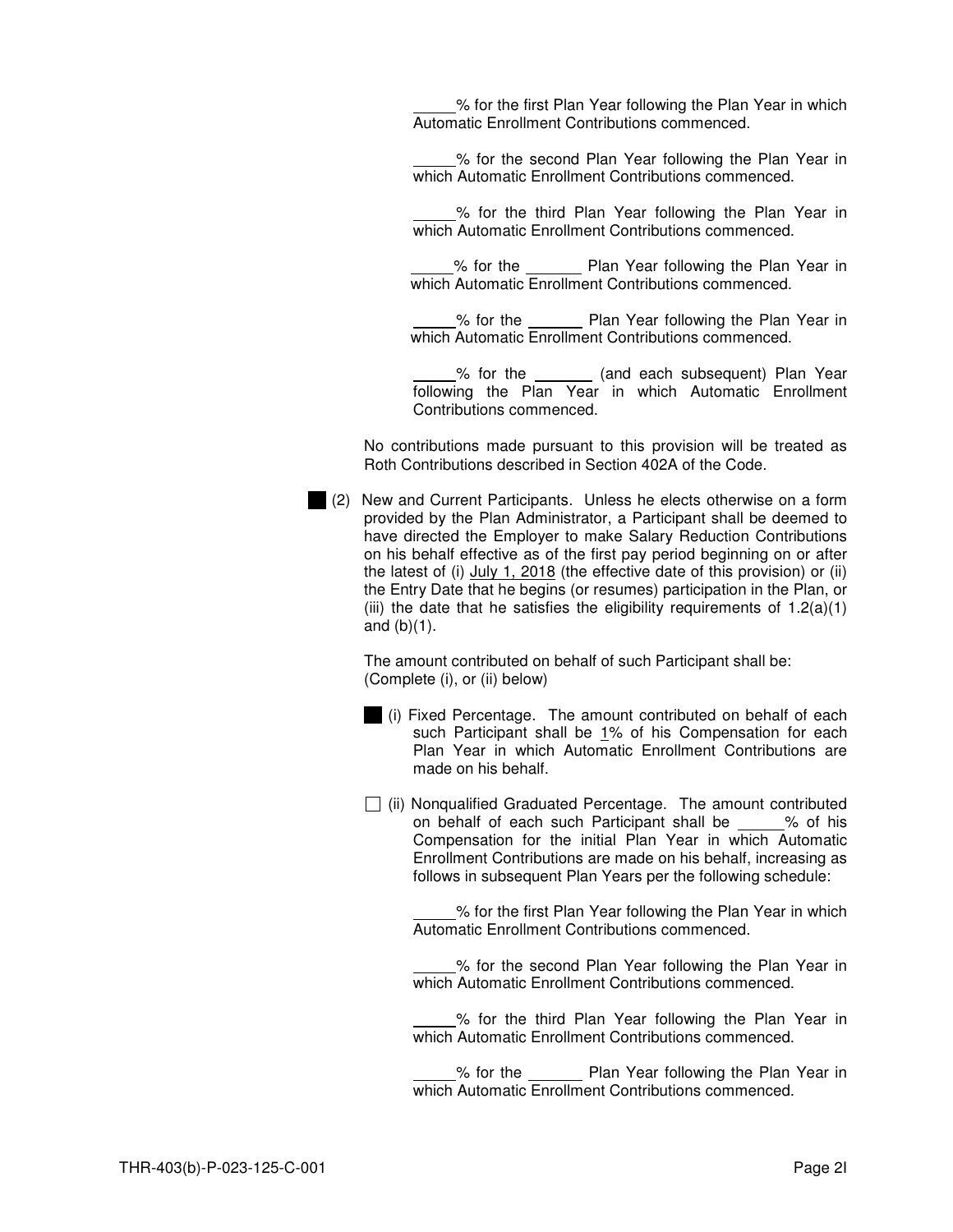% for the first Plan Year following the Plan Year in which Automatic Enrollment Contributions commenced.

 % for the second Plan Year following the Plan Year in which Automatic Enrollment Contributions commenced.

 % for the third Plan Year following the Plan Year in which Automatic Enrollment Contributions commenced.

 % for the Plan Year following the Plan Year in which Automatic Enrollment Contributions commenced.

**EXECUTE:** % for the **Plan Year following the Plan Year in** which Automatic Enrollment Contributions commenced.

% for the \_\_\_\_\_\_ (and each subsequent) Plan Year following the Plan Year in which Automatic Enrollment Contributions commenced.

No contributions made pursuant to this provision will be treated as Roth Contributions described in Section 402A of the Code.

 (2) New and Current Participants. Unless he elects otherwise on a form provided by the Plan Administrator, a Participant shall be deemed to have directed the Employer to make Salary Reduction Contributions on his behalf effective as of the first pay period beginning on or after the latest of (i) July 1, 2018 (the effective date of this provision) or (ii) the Entry Date that he begins (or resumes) participation in the Plan, or (iii) the date that he satisfies the eligibility requirements of  $1.2(a)(1)$ and  $(b)(1)$ .

The amount contributed on behalf of such Participant shall be: (Complete (i), or (ii) below)

- (i) Fixed Percentage. The amount contributed on behalf of each such Participant shall be 1% of his Compensation for each Plan Year in which Automatic Enrollment Contributions are made on his behalf.
- $\Box$  (ii) Nonqualified Graduated Percentage. The amount contributed on behalf of each such Participant shall be % of his Compensation for the initial Plan Year in which Automatic Enrollment Contributions are made on his behalf, increasing as follows in subsequent Plan Years per the following schedule:

 % for the first Plan Year following the Plan Year in which Automatic Enrollment Contributions commenced.

 % for the second Plan Year following the Plan Year in which Automatic Enrollment Contributions commenced.

 % for the third Plan Year following the Plan Year in which Automatic Enrollment Contributions commenced.

 % for the Plan Year following the Plan Year in which Automatic Enrollment Contributions commenced.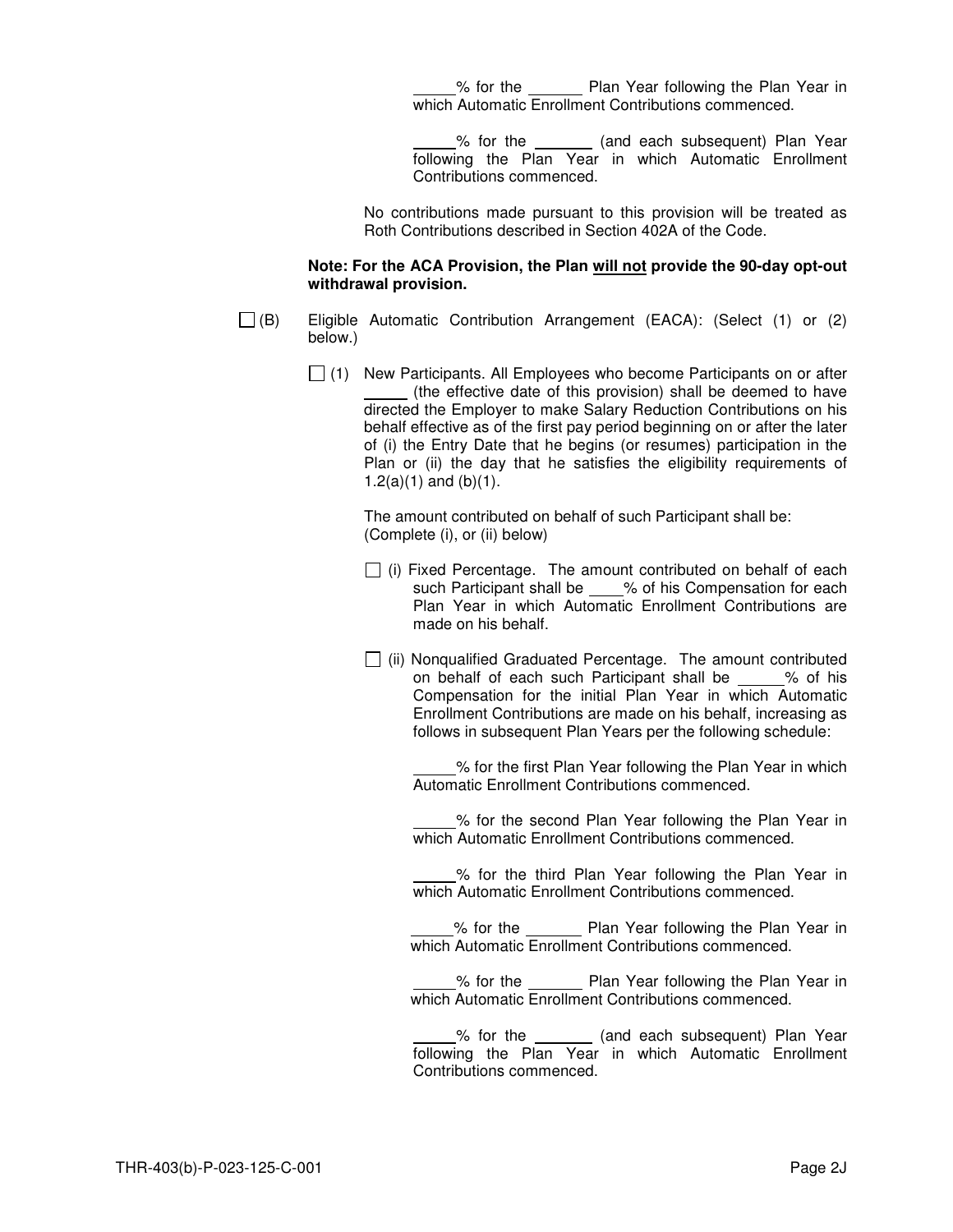% for the \_\_\_\_\_\_\_\_ Plan Year following the Plan Year in which Automatic Enrollment Contributions commenced.

% for the \_\_\_\_\_\_\_ (and each subsequent) Plan Year following the Plan Year in which Automatic Enrollment Contributions commenced.

No contributions made pursuant to this provision will be treated as Roth Contributions described in Section 402A of the Code.

#### **Note: For the ACA Provision, the Plan will not provide the 90-day opt-out withdrawal provision.**

 $\Box$  (B) Eligible Automatic Contribution Arrangement (EACA): (Select (1) or (2) below.)

> $\Box$  (1) New Participants. All Employees who become Participants on or after (the effective date of this provision) shall be deemed to have directed the Employer to make Salary Reduction Contributions on his behalf effective as of the first pay period beginning on or after the later of (i) the Entry Date that he begins (or resumes) participation in the Plan or (ii) the day that he satisfies the eligibility requirements of 1.2(a)(1) and (b)(1).

> > The amount contributed on behalf of such Participant shall be: (Complete (i), or (ii) below)

- $\Box$  (i) Fixed Percentage. The amount contributed on behalf of each such Participant shall be \_\_\_\_% of his Compensation for each Plan Year in which Automatic Enrollment Contributions are made on his behalf.
- $\Box$  (ii) Nonqualified Graduated Percentage. The amount contributed on behalf of each such Participant shall be % of his Compensation for the initial Plan Year in which Automatic Enrollment Contributions are made on his behalf, increasing as follows in subsequent Plan Years per the following schedule:

 % for the first Plan Year following the Plan Year in which Automatic Enrollment Contributions commenced.

 % for the second Plan Year following the Plan Year in which Automatic Enrollment Contributions commenced.

 % for the third Plan Year following the Plan Year in which Automatic Enrollment Contributions commenced.

% for the \_\_\_\_\_\_\_\_ Plan Year following the Plan Year in which Automatic Enrollment Contributions commenced.

% for the Plan Year following the Plan Year in which Automatic Enrollment Contributions commenced.

% for the **constant (and each subsequent)** Plan Year following the Plan Year in which Automatic Enrollment Contributions commenced.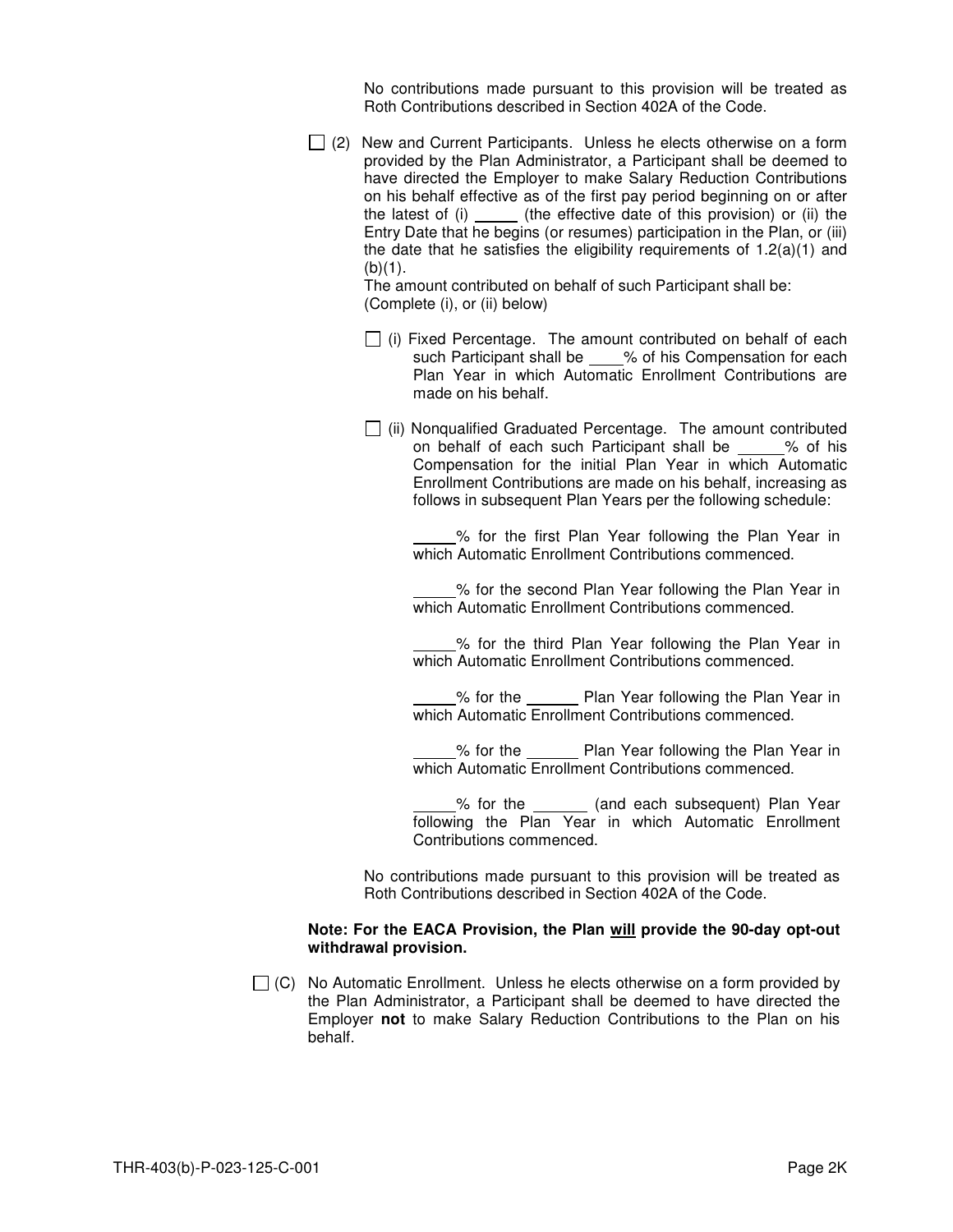No contributions made pursuant to this provision will be treated as Roth Contributions described in Section 402A of the Code.

 $\Box$  (2) New and Current Participants. Unless he elects otherwise on a form provided by the Plan Administrator, a Participant shall be deemed to have directed the Employer to make Salary Reduction Contributions on his behalf effective as of the first pay period beginning on or after the latest of  $(i)$  (the effective date of this provision) or  $(ii)$  the Entry Date that he begins (or resumes) participation in the Plan, or (iii) the date that he satisfies the eligibility requirements of  $1.2(a)(1)$  and  $(b)(1)$ .

The amount contributed on behalf of such Participant shall be: (Complete (i), or (ii) below)

- $\Box$  (i) Fixed Percentage. The amount contributed on behalf of each such Participant shall be \_\_\_\_% of his Compensation for each Plan Year in which Automatic Enrollment Contributions are made on his behalf.
- $\Box$  (ii) Nonqualified Graduated Percentage. The amount contributed on behalf of each such Participant shall be % of his Compensation for the initial Plan Year in which Automatic Enrollment Contributions are made on his behalf, increasing as follows in subsequent Plan Years per the following schedule:

% for the first Plan Year following the Plan Year in which Automatic Enrollment Contributions commenced.

% for the second Plan Year following the Plan Year in which Automatic Enrollment Contributions commenced.

 % for the third Plan Year following the Plan Year in which Automatic Enrollment Contributions commenced.

**Solutify** September 2016 Merry Star following the Plan Year in which Automatic Enrollment Contributions commenced.

 % for the Plan Year following the Plan Year in which Automatic Enrollment Contributions commenced.

% for the \_\_\_\_\_\_\_ (and each subsequent) Plan Year following the Plan Year in which Automatic Enrollment Contributions commenced.

No contributions made pursuant to this provision will be treated as Roth Contributions described in Section 402A of the Code.

#### **Note: For the EACA Provision, the Plan will provide the 90-day opt-out withdrawal provision.**

 $\Box$  (C) No Automatic Enrollment. Unless he elects otherwise on a form provided by the Plan Administrator, a Participant shall be deemed to have directed the Employer **not** to make Salary Reduction Contributions to the Plan on his behalf.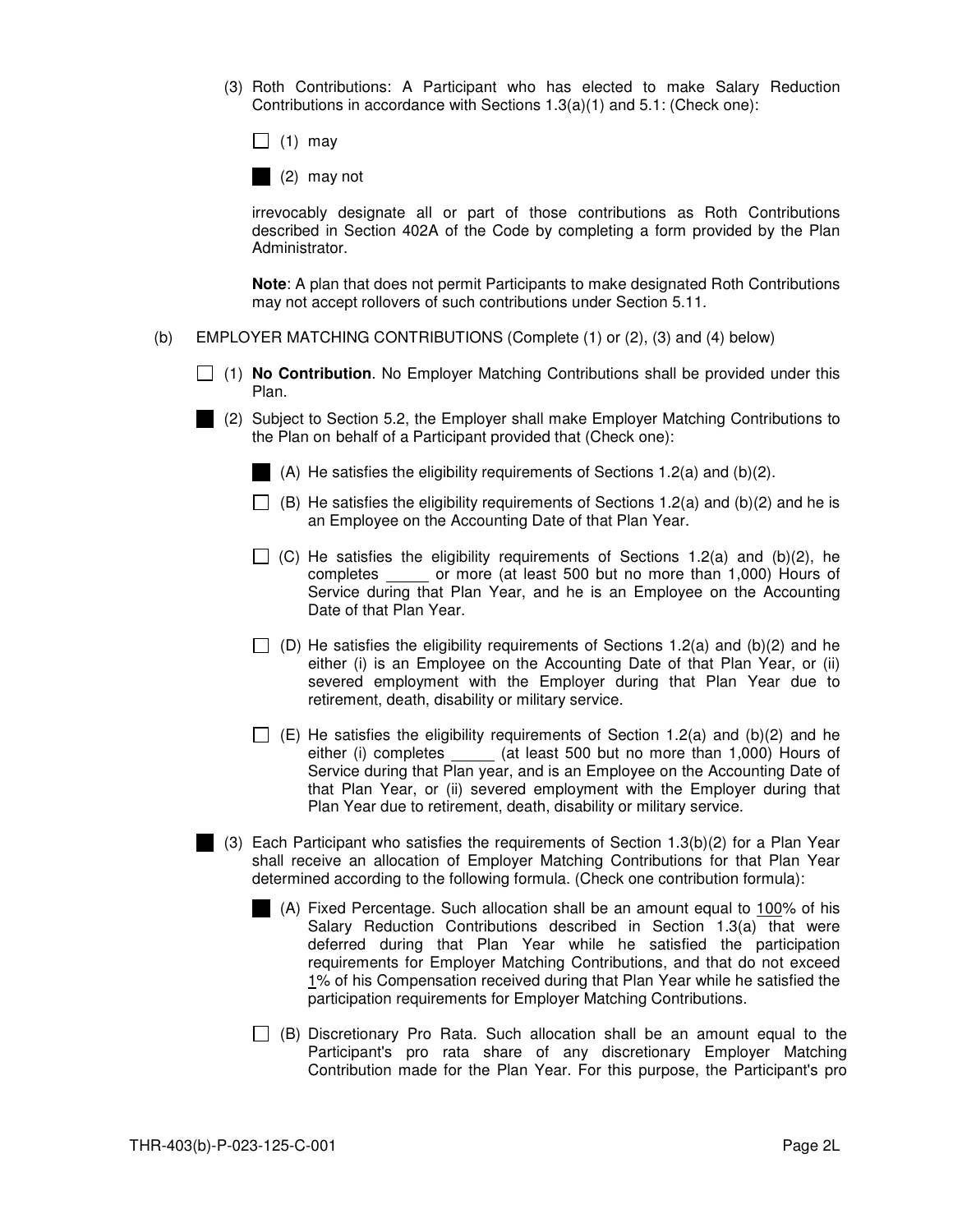(3) Roth Contributions: A Participant who has elected to make Salary Reduction Contributions in accordance with Sections 1.3(a)(1) and 5.1: (Check one):

 $\Box$  (1) may

(2) may not

irrevocably designate all or part of those contributions as Roth Contributions described in Section 402A of the Code by completing a form provided by the Plan Administrator.

**Note**: A plan that does not permit Participants to make designated Roth Contributions may not accept rollovers of such contributions under Section 5.11.

- (b) EMPLOYER MATCHING CONTRIBUTIONS (Complete (1) or (2), (3) and (4) below)
	- (1) **No Contribution**. No Employer Matching Contributions shall be provided under this Plan.
	- (2) Subject to Section 5.2, the Employer shall make Employer Matching Contributions to the Plan on behalf of a Participant provided that (Check one):

(A) He satisfies the eligibility requirements of Sections 1.2(a) and (b)(2).

- $\Box$  (B) He satisfies the eligibility requirements of Sections 1.2(a) and (b)(2) and he is an Employee on the Accounting Date of that Plan Year.
- $\Box$  (C) He satisfies the eligibility requirements of Sections 1.2(a) and (b)(2), he completes or more (at least 500 but no more than 1,000) Hours of Service during that Plan Year, and he is an Employee on the Accounting Date of that Plan Year.
- $\Box$  (D) He satisfies the eligibility requirements of Sections 1.2(a) and (b)(2) and he either (i) is an Employee on the Accounting Date of that Plan Year, or (ii) severed employment with the Employer during that Plan Year due to retirement, death, disability or military service.
- $\Box$  (E) He satisfies the eligibility requirements of Section 1.2(a) and (b)(2) and he either (i) completes \_\_\_\_\_ (at least 500 but no more than 1,000) Hours of Service during that Plan year, and is an Employee on the Accounting Date of that Plan Year, or (ii) severed employment with the Employer during that Plan Year due to retirement, death, disability or military service.
- (3) Each Participant who satisfies the requirements of Section 1.3(b)(2) for a Plan Year shall receive an allocation of Employer Matching Contributions for that Plan Year determined according to the following formula. (Check one contribution formula):
	- (A) Fixed Percentage. Such allocation shall be an amount equal to 100% of his Salary Reduction Contributions described in Section 1.3(a) that were deferred during that Plan Year while he satisfied the participation requirements for Employer Matching Contributions, and that do not exceed 1% of his Compensation received during that Plan Year while he satisfied the participation requirements for Employer Matching Contributions.
	- $\Box$  (B) Discretionary Pro Rata. Such allocation shall be an amount equal to the Participant's pro rata share of any discretionary Employer Matching Contribution made for the Plan Year. For this purpose, the Participant's pro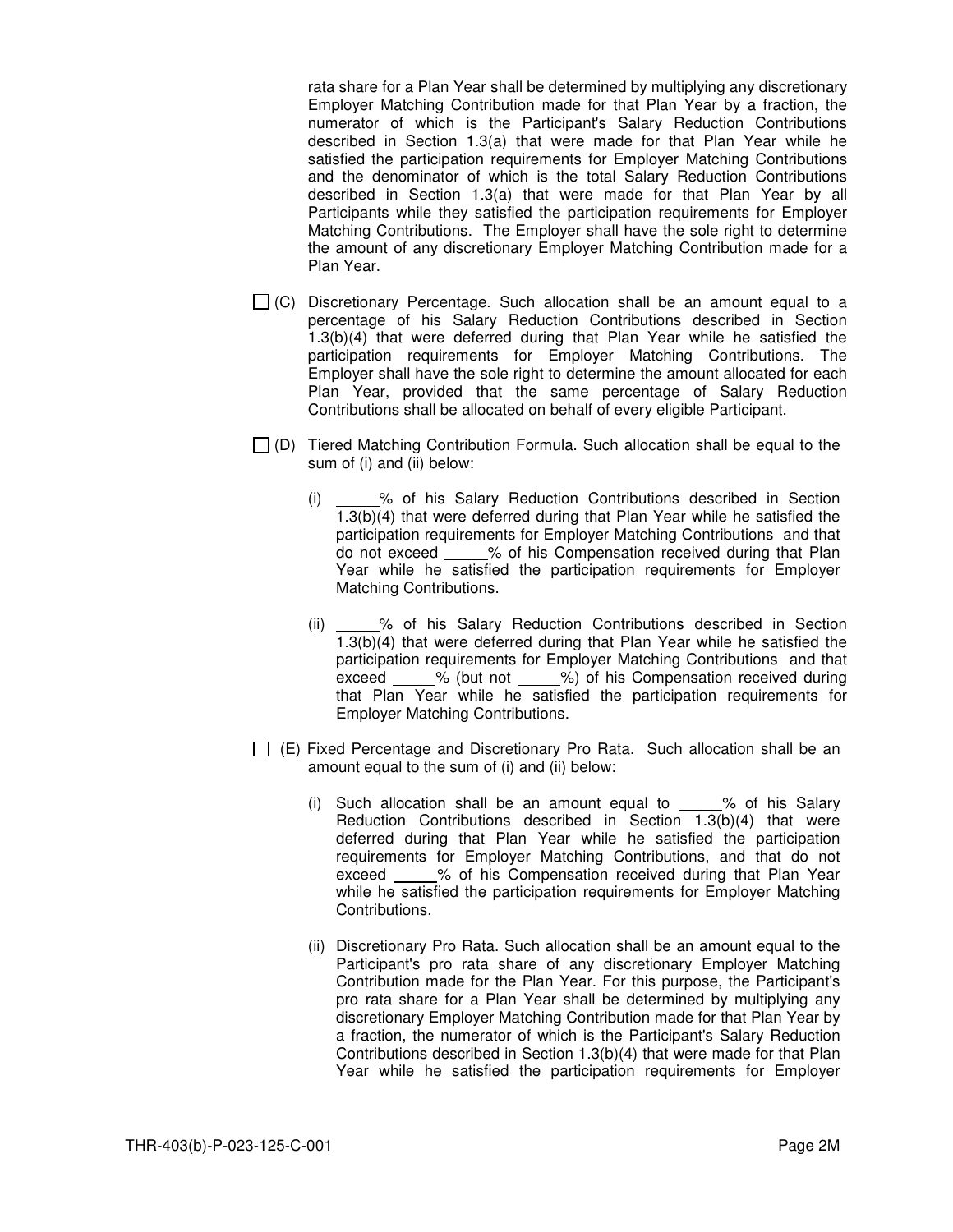rata share for a Plan Year shall be determined by multiplying any discretionary Employer Matching Contribution made for that Plan Year by a fraction, the numerator of which is the Participant's Salary Reduction Contributions described in Section 1.3(a) that were made for that Plan Year while he satisfied the participation requirements for Employer Matching Contributions and the denominator of which is the total Salary Reduction Contributions described in Section 1.3(a) that were made for that Plan Year by all Participants while they satisfied the participation requirements for Employer Matching Contributions. The Employer shall have the sole right to determine the amount of any discretionary Employer Matching Contribution made for a Plan Year.

- $\Box$  (C) Discretionary Percentage. Such allocation shall be an amount equal to a percentage of his Salary Reduction Contributions described in Section 1.3(b)(4) that were deferred during that Plan Year while he satisfied the participation requirements for Employer Matching Contributions. The Employer shall have the sole right to determine the amount allocated for each Plan Year, provided that the same percentage of Salary Reduction Contributions shall be allocated on behalf of every eligible Participant.
- $\Box$  (D) Tiered Matching Contribution Formula. Such allocation shall be equal to the sum of (i) and (ii) below:
	- (i) \_\_\_\_\_% of his Salary Reduction Contributions described in Section 1.3(b)(4) that were deferred during that Plan Year while he satisfied the participation requirements for Employer Matching Contributions and that do not exceed % of his Compensation received during that Plan Year while he satisfied the participation requirements for Employer Matching Contributions.
	- (ii) \_\_\_\_\_% of his Salary Reduction Contributions described in Section 1.3(b)(4) that were deferred during that Plan Year while he satisfied the participation requirements for Employer Matching Contributions and that exceed % (but not %) of his Compensation received during that Plan Year while he satisfied the participation requirements for Employer Matching Contributions.
- $\Box$  (E) Fixed Percentage and Discretionary Pro Rata. Such allocation shall be an amount equal to the sum of (i) and (ii) below:
	- (i) Such allocation shall be an amount equal to  $\_\_\_\%$  of his Salary Reduction Contributions described in Section  $1.3(b)(4)$  that were deferred during that Plan Year while he satisfied the participation requirements for Employer Matching Contributions, and that do not exceed % of his Compensation received during that Plan Year while he satisfied the participation requirements for Employer Matching Contributions.
	- (ii) Discretionary Pro Rata. Such allocation shall be an amount equal to the Participant's pro rata share of any discretionary Employer Matching Contribution made for the Plan Year. For this purpose, the Participant's pro rata share for a Plan Year shall be determined by multiplying any discretionary Employer Matching Contribution made for that Plan Year by a fraction, the numerator of which is the Participant's Salary Reduction Contributions described in Section 1.3(b)(4) that were made for that Plan Year while he satisfied the participation requirements for Employer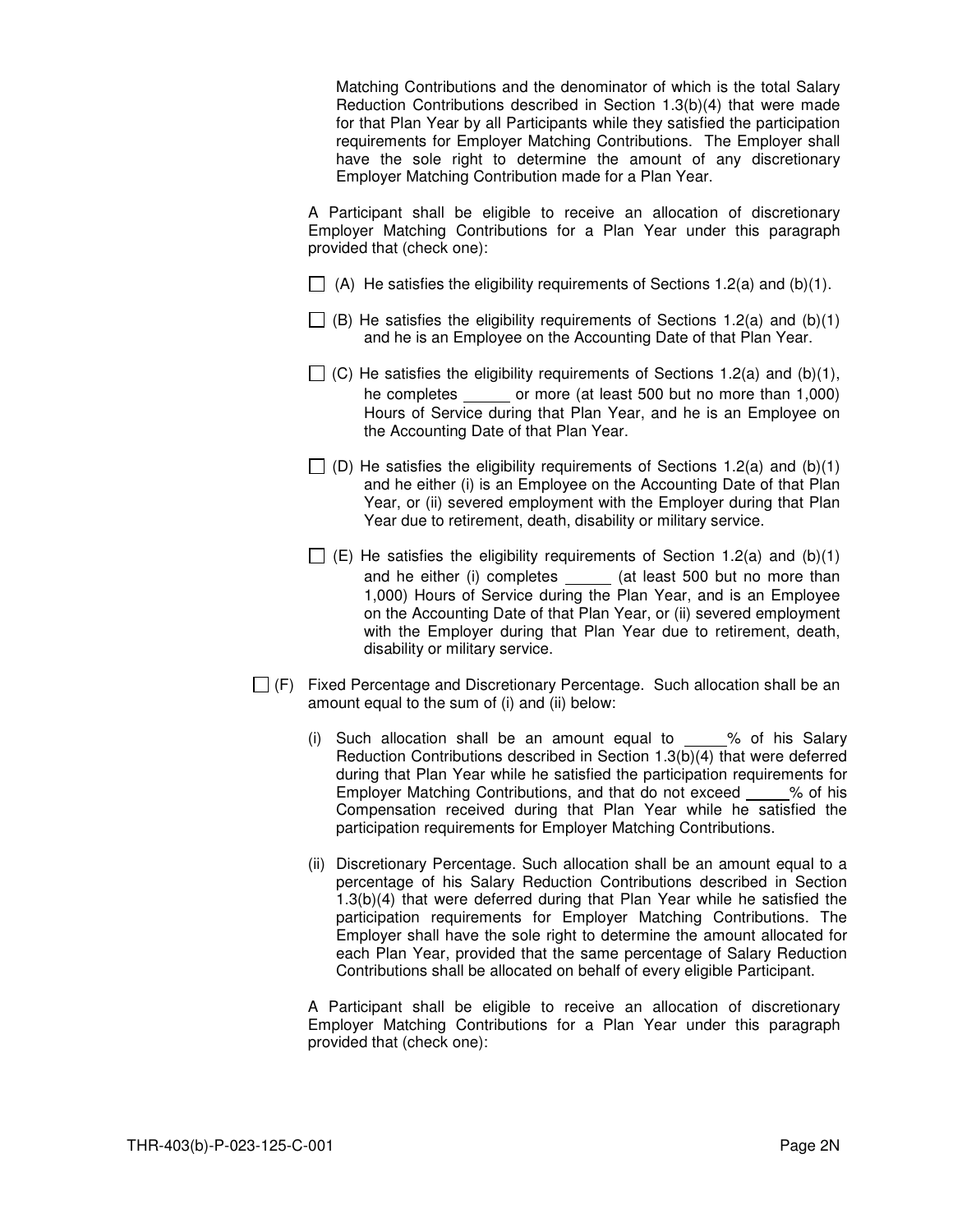Matching Contributions and the denominator of which is the total Salary Reduction Contributions described in Section 1.3(b)(4) that were made for that Plan Year by all Participants while they satisfied the participation requirements for Employer Matching Contributions. The Employer shall have the sole right to determine the amount of any discretionary Employer Matching Contribution made for a Plan Year.

A Participant shall be eligible to receive an allocation of discretionary Employer Matching Contributions for a Plan Year under this paragraph provided that (check one):

- $\Box$  (A) He satisfies the eligibility requirements of Sections 1.2(a) and (b)(1).
- $\Box$  (B) He satisfies the eligibility requirements of Sections 1.2(a) and (b)(1) and he is an Employee on the Accounting Date of that Plan Year.
- $\Box$  (C) He satisfies the eligibility requirements of Sections 1.2(a) and (b)(1), he completes or more (at least 500 but no more than 1,000) Hours of Service during that Plan Year, and he is an Employee on the Accounting Date of that Plan Year.
- $\Box$  (D) He satisfies the eligibility requirements of Sections 1.2(a) and (b)(1) and he either (i) is an Employee on the Accounting Date of that Plan Year, or (ii) severed employment with the Employer during that Plan Year due to retirement, death, disability or military service.
- $\Box$  (E) He satisfies the eligibility requirements of Section 1.2(a) and (b)(1) and he either (i) completes \_\_\_\_\_\_ (at least 500 but no more than 1,000) Hours of Service during the Plan Year, and is an Employee on the Accounting Date of that Plan Year, or (ii) severed employment with the Employer during that Plan Year due to retirement, death, disability or military service.
- $\Box$  (F) Fixed Percentage and Discretionary Percentage. Such allocation shall be an amount equal to the sum of (i) and (ii) below:
	- (i) Such allocation shall be an amount equal to % of his Salary Reduction Contributions described in Section 1.3(b)(4) that were deferred during that Plan Year while he satisfied the participation requirements for Employer Matching Contributions, and that do not exceed % of his Compensation received during that Plan Year while he satisfied the participation requirements for Employer Matching Contributions.
	- (ii) Discretionary Percentage. Such allocation shall be an amount equal to a percentage of his Salary Reduction Contributions described in Section 1.3(b)(4) that were deferred during that Plan Year while he satisfied the participation requirements for Employer Matching Contributions. The Employer shall have the sole right to determine the amount allocated for each Plan Year, provided that the same percentage of Salary Reduction Contributions shall be allocated on behalf of every eligible Participant.

A Participant shall be eligible to receive an allocation of discretionary Employer Matching Contributions for a Plan Year under this paragraph provided that (check one):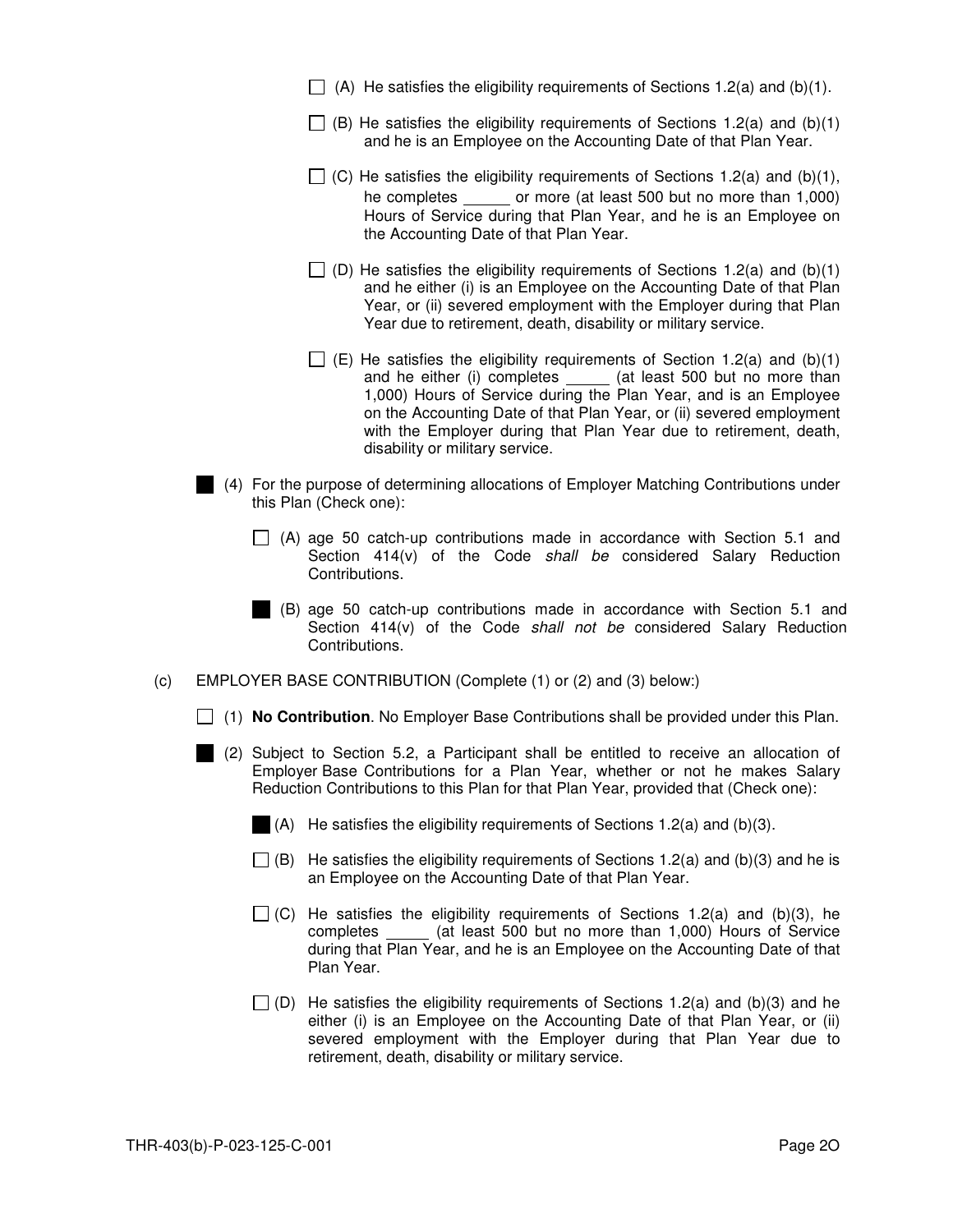- $\Box$  (A) He satisfies the eligibility requirements of Sections 1.2(a) and (b)(1).
- $\Box$  (B) He satisfies the eligibility requirements of Sections 1.2(a) and (b)(1) and he is an Employee on the Accounting Date of that Plan Year.
- $\Box$  (C) He satisfies the eligibility requirements of Sections 1.2(a) and (b)(1), he completes \_\_\_\_\_\_\_ or more (at least 500 but no more than 1,000) Hours of Service during that Plan Year, and he is an Employee on the Accounting Date of that Plan Year.
- $\Box$  (D) He satisfies the eligibility requirements of Sections 1.2(a) and (b)(1) and he either (i) is an Employee on the Accounting Date of that Plan Year, or (ii) severed employment with the Employer during that Plan Year due to retirement, death, disability or military service.
- $\Box$  (E) He satisfies the eligibility requirements of Section 1.2(a) and (b)(1) and he either (i) completes \_\_\_\_\_ (at least 500 but no more than 1,000) Hours of Service during the Plan Year, and is an Employee on the Accounting Date of that Plan Year, or (ii) severed employment with the Employer during that Plan Year due to retirement, death, disability or military service.
- (4) For the purpose of determining allocations of Employer Matching Contributions under this Plan (Check one):
	- $\Box$  (A) age 50 catch-up contributions made in accordance with Section 5.1 and Section 414(v) of the Code shall be considered Salary Reduction Contributions.
	- (B) age 50 catch-up contributions made in accordance with Section 5.1 and Section 414(v) of the Code shall not be considered Salary Reduction Contributions.
- (c) EMPLOYER BASE CONTRIBUTION (Complete (1) or (2) and (3) below:)
	- (1) **No Contribution**. No Employer Base Contributions shall be provided under this Plan.
	- (2) Subject to Section 5.2, a Participant shall be entitled to receive an allocation of Employer Base Contributions for a Plan Year, whether or not he makes Salary Reduction Contributions to this Plan for that Plan Year, provided that (Check one):
		- (A) He satisfies the eligibility requirements of Sections 1.2(a) and (b)(3).
		- $\Box$  (B) He satisfies the eligibility requirements of Sections 1.2(a) and (b)(3) and he is an Employee on the Accounting Date of that Plan Year.
		- $\Box$  (C) He satisfies the eligibility requirements of Sections 1.2(a) and (b)(3), he completes (at least 500 but no more than 1,000) Hours of Service during that Plan Year, and he is an Employee on the Accounting Date of that Plan Year.
		- $\Box$  (D) He satisfies the eligibility requirements of Sections 1.2(a) and (b)(3) and he either (i) is an Employee on the Accounting Date of that Plan Year, or (ii) severed employment with the Employer during that Plan Year due to retirement, death, disability or military service.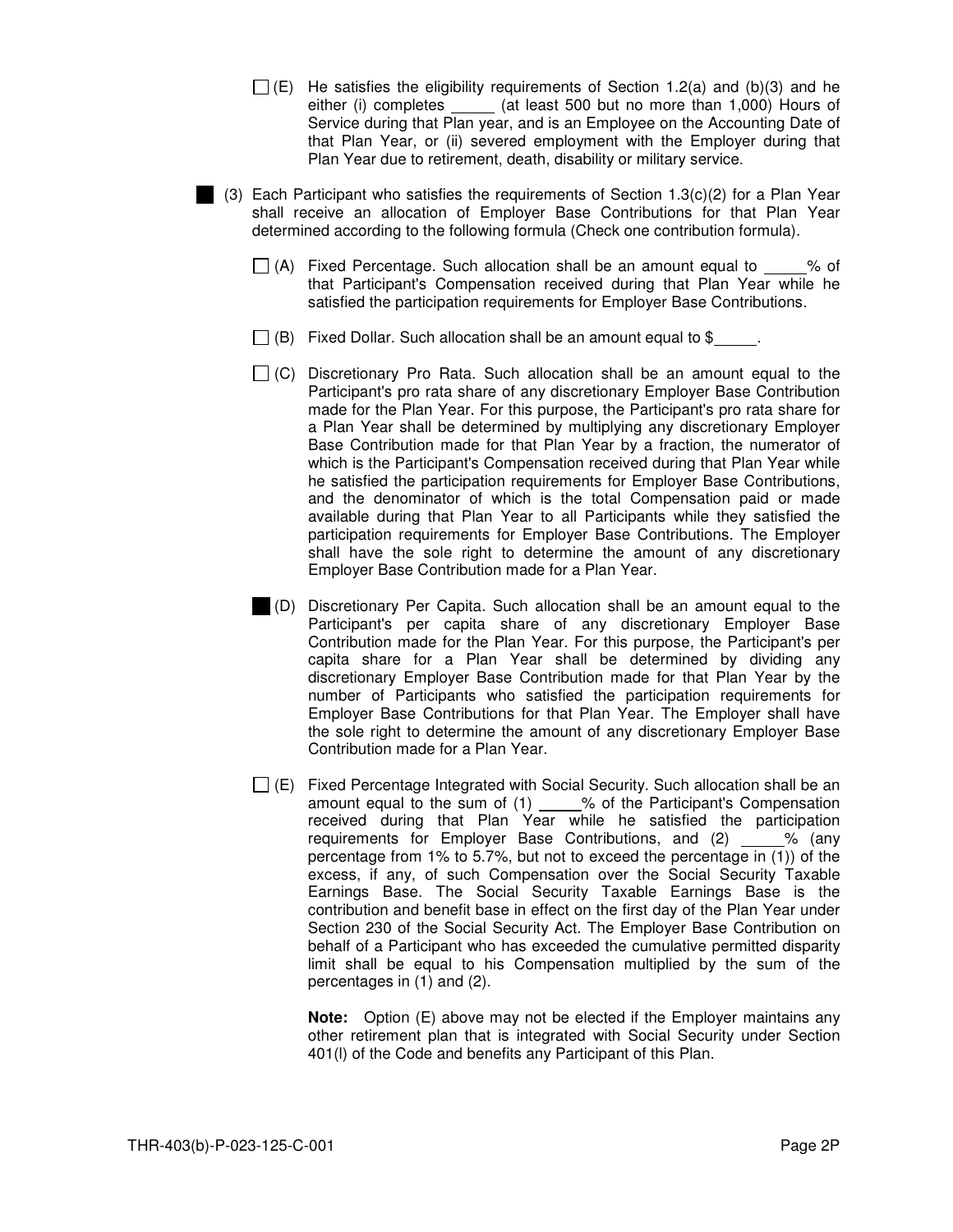- $\Box$  (E) He satisfies the eligibility requirements of Section 1.2(a) and (b)(3) and he either (i) completes \_\_\_\_\_\_ (at least 500 but no more than 1,000) Hours of Service during that Plan year, and is an Employee on the Accounting Date of that Plan Year, or (ii) severed employment with the Employer during that Plan Year due to retirement, death, disability or military service.
- (3) Each Participant who satisfies the requirements of Section 1.3(c)(2) for a Plan Year shall receive an allocation of Employer Base Contributions for that Plan Year determined according to the following formula (Check one contribution formula).
	- $\Box$  (A) Fixed Percentage. Such allocation shall be an amount equal to  $\%$  of that Participant's Compensation received during that Plan Year while he satisfied the participation requirements for Employer Base Contributions.
	- $\Box$  (B) Fixed Dollar. Such allocation shall be an amount equal to \$
	- $\Box$  (C) Discretionary Pro Rata. Such allocation shall be an amount equal to the Participant's pro rata share of any discretionary Employer Base Contribution made for the Plan Year. For this purpose, the Participant's pro rata share for a Plan Year shall be determined by multiplying any discretionary Employer Base Contribution made for that Plan Year by a fraction, the numerator of which is the Participant's Compensation received during that Plan Year while he satisfied the participation requirements for Employer Base Contributions, and the denominator of which is the total Compensation paid or made available during that Plan Year to all Participants while they satisfied the participation requirements for Employer Base Contributions. The Employer shall have the sole right to determine the amount of any discretionary Employer Base Contribution made for a Plan Year.
		- (D) Discretionary Per Capita. Such allocation shall be an amount equal to the Participant's per capita share of any discretionary Employer Base Contribution made for the Plan Year. For this purpose, the Participant's per capita share for a Plan Year shall be determined by dividing any discretionary Employer Base Contribution made for that Plan Year by the number of Participants who satisfied the participation requirements for Employer Base Contributions for that Plan Year. The Employer shall have the sole right to determine the amount of any discretionary Employer Base Contribution made for a Plan Year.
	- $\Box$  (E) Fixed Percentage Integrated with Social Security. Such allocation shall be an amount equal to the sum of  $(1)$  \_\_\_\_% of the Participant's Compensation received during that Plan Year while he satisfied the participation requirements for Employer Base Contributions, and  $(2)$  \_\_\_\_% (any percentage from 1% to 5.7%, but not to exceed the percentage in (1)) of the excess, if any, of such Compensation over the Social Security Taxable Earnings Base. The Social Security Taxable Earnings Base is the contribution and benefit base in effect on the first day of the Plan Year under Section 230 of the Social Security Act. The Employer Base Contribution on behalf of a Participant who has exceeded the cumulative permitted disparity limit shall be equal to his Compensation multiplied by the sum of the percentages in (1) and (2).

**Note:** Option (E) above may not be elected if the Employer maintains any other retirement plan that is integrated with Social Security under Section 401(l) of the Code and benefits any Participant of this Plan.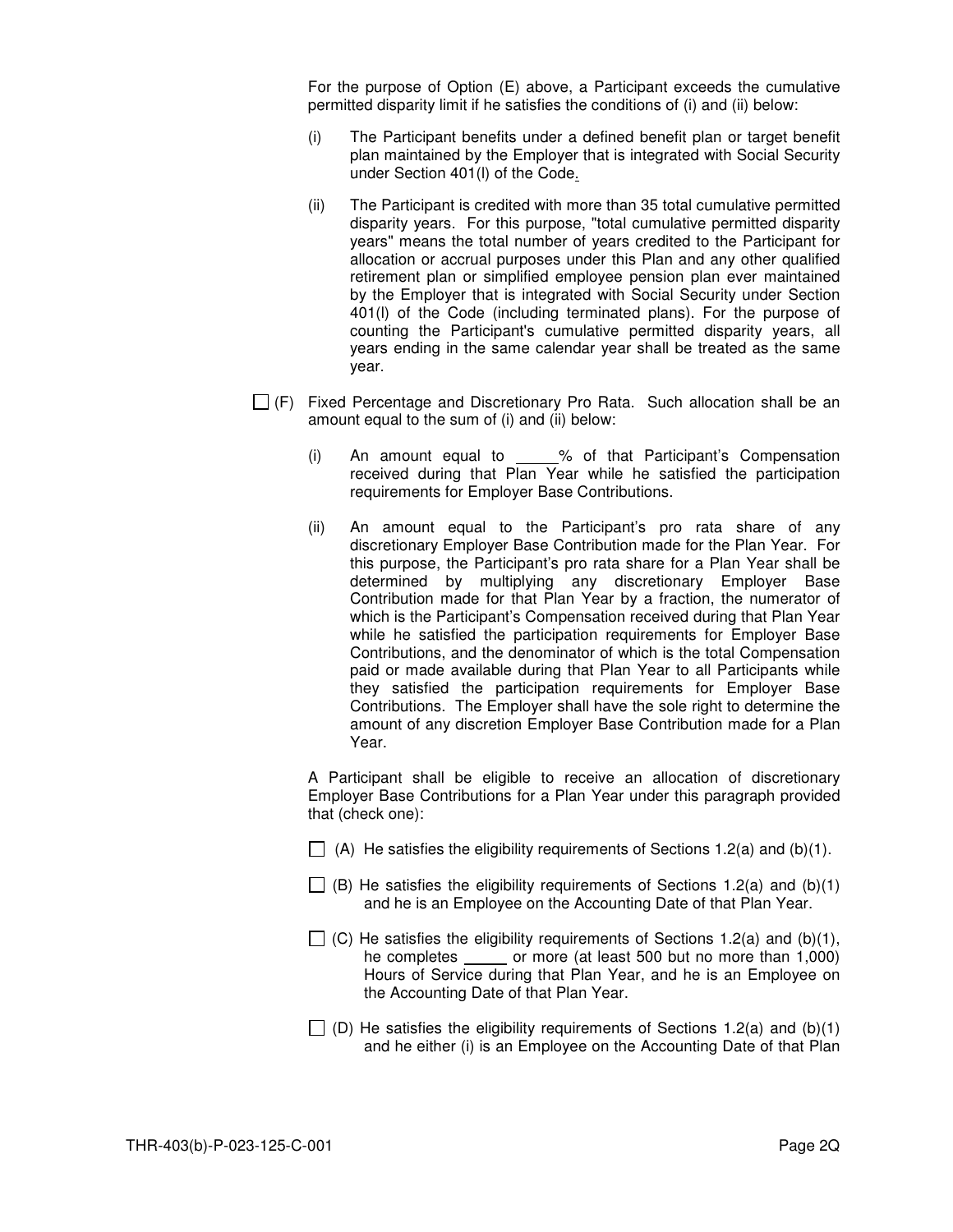For the purpose of Option (E) above, a Participant exceeds the cumulative permitted disparity limit if he satisfies the conditions of (i) and (ii) below:

- (i) The Participant benefits under a defined benefit plan or target benefit plan maintained by the Employer that is integrated with Social Security under Section 401(l) of the Code.
- (ii) The Participant is credited with more than 35 total cumulative permitted disparity years. For this purpose, "total cumulative permitted disparity years" means the total number of years credited to the Participant for allocation or accrual purposes under this Plan and any other qualified retirement plan or simplified employee pension plan ever maintained by the Employer that is integrated with Social Security under Section 401(l) of the Code (including terminated plans). For the purpose of counting the Participant's cumulative permitted disparity years, all years ending in the same calendar year shall be treated as the same year.
- $\Box$  (F) Fixed Percentage and Discretionary Pro Rata. Such allocation shall be an amount equal to the sum of (i) and (ii) below:
	- (i) An amount equal to % of that Participant's Compensation received during that Plan Year while he satisfied the participation requirements for Employer Base Contributions.
	- (ii) An amount equal to the Participant's pro rata share of any discretionary Employer Base Contribution made for the Plan Year. For this purpose, the Participant's pro rata share for a Plan Year shall be determined by multiplying any discretionary Employer Base Contribution made for that Plan Year by a fraction, the numerator of which is the Participant's Compensation received during that Plan Year while he satisfied the participation requirements for Employer Base Contributions, and the denominator of which is the total Compensation paid or made available during that Plan Year to all Participants while they satisfied the participation requirements for Employer Base Contributions. The Employer shall have the sole right to determine the amount of any discretion Employer Base Contribution made for a Plan Year.

A Participant shall be eligible to receive an allocation of discretionary Employer Base Contributions for a Plan Year under this paragraph provided that (check one):

- $\Box$  (A) He satisfies the eligibility requirements of Sections 1.2(a) and (b)(1).
- $\Box$  (B) He satisfies the eligibility requirements of Sections 1.2(a) and (b)(1) and he is an Employee on the Accounting Date of that Plan Year.
- $\Box$  (C) He satisfies the eligibility requirements of Sections 1.2(a) and (b)(1), he completes \_\_\_\_\_\_ or more (at least 500 but no more than 1,000) Hours of Service during that Plan Year, and he is an Employee on the Accounting Date of that Plan Year.
- $\Box$  (D) He satisfies the eligibility requirements of Sections 1.2(a) and (b)(1) and he either (i) is an Employee on the Accounting Date of that Plan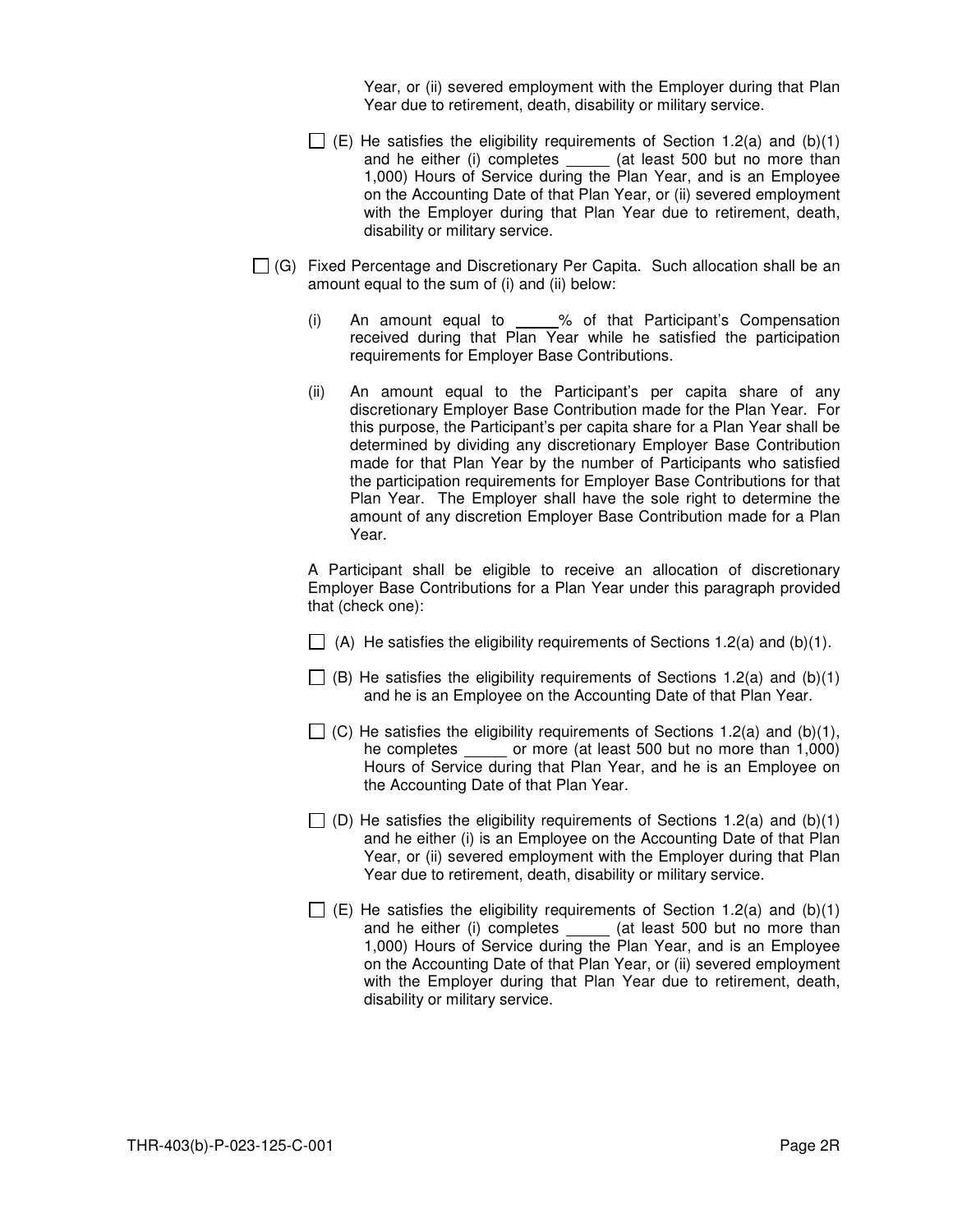Year, or (ii) severed employment with the Employer during that Plan Year due to retirement, death, disability or military service.

- $\Box$  (E) He satisfies the eligibility requirements of Section 1.2(a) and (b)(1) and he either (i) completes \_\_\_\_\_ (at least 500 but no more than 1,000) Hours of Service during the Plan Year, and is an Employee on the Accounting Date of that Plan Year, or (ii) severed employment with the Employer during that Plan Year due to retirement, death, disability or military service.
- $\Box$  (G) Fixed Percentage and Discretionary Per Capita. Such allocation shall be an amount equal to the sum of (i) and (ii) below:
	- $(i)$  An amount equal to  $\underline{\hspace{1cm}}$ % of that Participant's Compensation received during that Plan Year while he satisfied the participation requirements for Employer Base Contributions.
	- (ii) An amount equal to the Participant's per capita share of any discretionary Employer Base Contribution made for the Plan Year. For this purpose, the Participant's per capita share for a Plan Year shall be determined by dividing any discretionary Employer Base Contribution made for that Plan Year by the number of Participants who satisfied the participation requirements for Employer Base Contributions for that Plan Year. The Employer shall have the sole right to determine the amount of any discretion Employer Base Contribution made for a Plan Year.

A Participant shall be eligible to receive an allocation of discretionary Employer Base Contributions for a Plan Year under this paragraph provided that (check one):

- $\Box$  (A) He satisfies the eligibility requirements of Sections 1.2(a) and (b)(1).
- $\Box$  (B) He satisfies the eligibility requirements of Sections 1.2(a) and (b)(1) and he is an Employee on the Accounting Date of that Plan Year.
- $\Box$  (C) He satisfies the eligibility requirements of Sections 1.2(a) and (b)(1), he completes \_\_\_\_\_\_ or more (at least 500 but no more than 1,000) Hours of Service during that Plan Year, and he is an Employee on the Accounting Date of that Plan Year.
- $\Box$  (D) He satisfies the eligibility requirements of Sections 1.2(a) and (b)(1) and he either (i) is an Employee on the Accounting Date of that Plan Year, or (ii) severed employment with the Employer during that Plan Year due to retirement, death, disability or military service.
- $\Box$  (E) He satisfies the eligibility requirements of Section 1.2(a) and (b)(1) and he either (i) completes \_\_\_\_\_ (at least 500 but no more than 1,000) Hours of Service during the Plan Year, and is an Employee on the Accounting Date of that Plan Year, or (ii) severed employment with the Employer during that Plan Year due to retirement, death, disability or military service.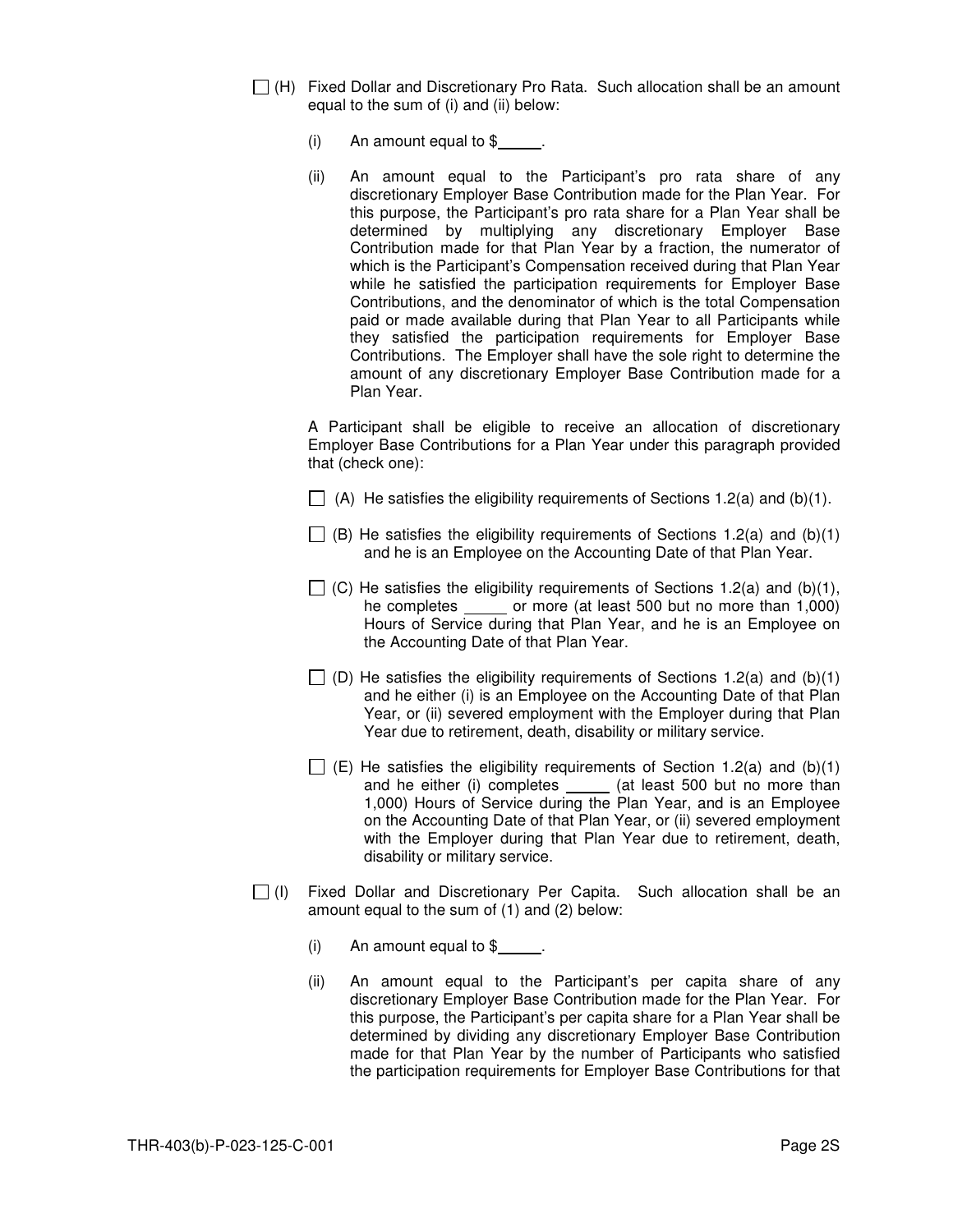- $\Box$  (H) Fixed Dollar and Discretionary Pro Rata. Such allocation shall be an amount equal to the sum of (i) and (ii) below:
	- (i) An amount equal to  $$$ .
	- (ii) An amount equal to the Participant's pro rata share of any discretionary Employer Base Contribution made for the Plan Year. For this purpose, the Participant's pro rata share for a Plan Year shall be determined by multiplying any discretionary Employer Base Contribution made for that Plan Year by a fraction, the numerator of which is the Participant's Compensation received during that Plan Year while he satisfied the participation requirements for Employer Base Contributions, and the denominator of which is the total Compensation paid or made available during that Plan Year to all Participants while they satisfied the participation requirements for Employer Base Contributions. The Employer shall have the sole right to determine the amount of any discretionary Employer Base Contribution made for a Plan Year.

A Participant shall be eligible to receive an allocation of discretionary Employer Base Contributions for a Plan Year under this paragraph provided that (check one):

- $\Box$  (A) He satisfies the eligibility requirements of Sections 1.2(a) and (b)(1).
- $\Box$  (B) He satisfies the eligibility requirements of Sections 1.2(a) and (b)(1) and he is an Employee on the Accounting Date of that Plan Year.
- $\Box$  (C) He satisfies the eligibility requirements of Sections 1.2(a) and (b)(1), he completes \_\_\_\_\_\_ or more (at least 500 but no more than 1,000) Hours of Service during that Plan Year, and he is an Employee on the Accounting Date of that Plan Year.
- $\Box$  (D) He satisfies the eligibility requirements of Sections 1.2(a) and (b)(1) and he either (i) is an Employee on the Accounting Date of that Plan Year, or (ii) severed employment with the Employer during that Plan Year due to retirement, death, disability or military service.
- $\Box$  (E) He satisfies the eligibility requirements of Section 1.2(a) and (b)(1) and he either (i) completes \_\_\_\_\_ (at least 500 but no more than 1,000) Hours of Service during the Plan Year, and is an Employee on the Accounting Date of that Plan Year, or (ii) severed employment with the Employer during that Plan Year due to retirement, death, disability or military service.
- $\Box$  (I) Fixed Dollar and Discretionary Per Capita. Such allocation shall be an amount equal to the sum of (1) and (2) below:
	- (i) An amount equal to  $\frac{1}{2}$ .
	- (ii) An amount equal to the Participant's per capita share of any discretionary Employer Base Contribution made for the Plan Year. For this purpose, the Participant's per capita share for a Plan Year shall be determined by dividing any discretionary Employer Base Contribution made for that Plan Year by the number of Participants who satisfied the participation requirements for Employer Base Contributions for that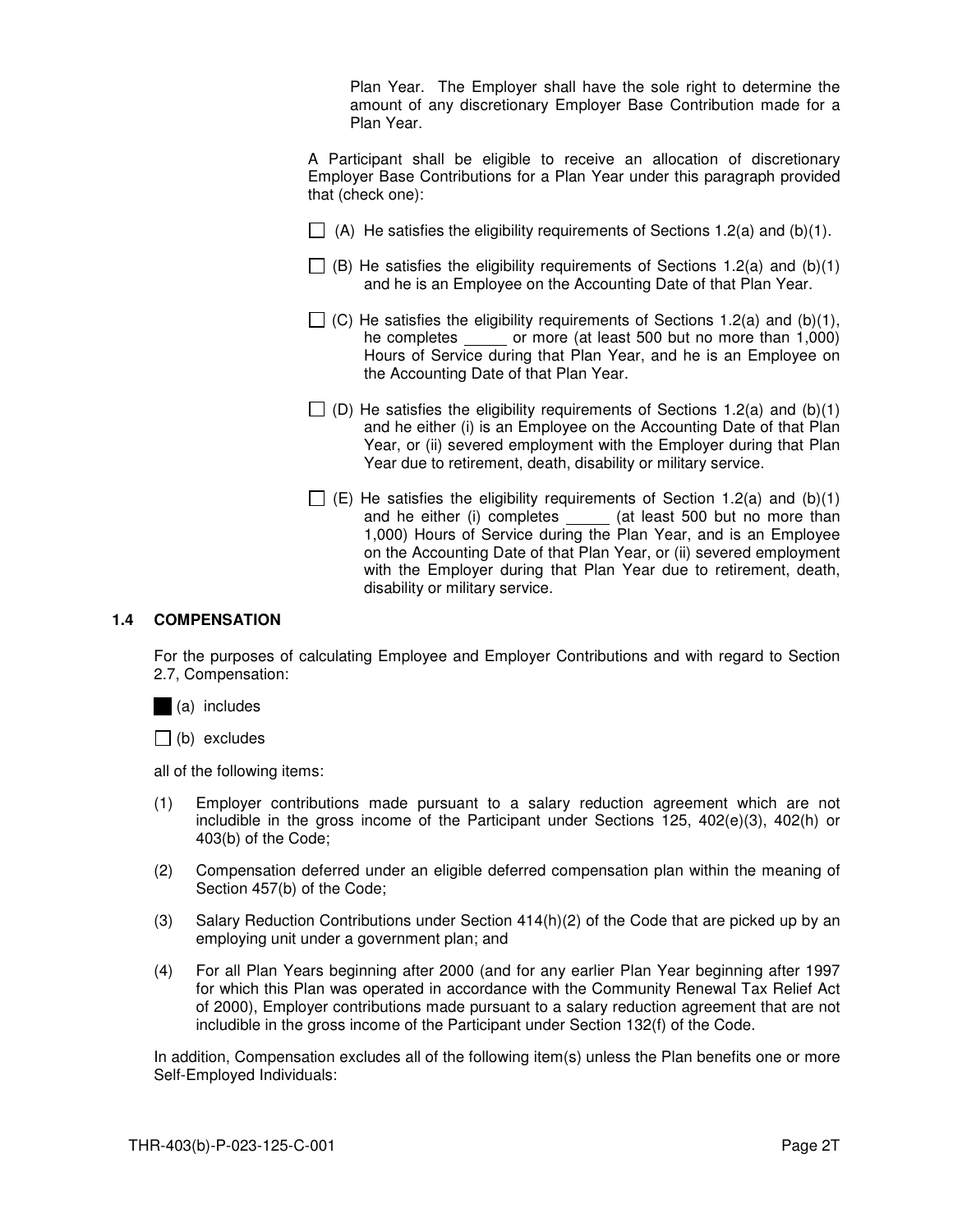Plan Year. The Employer shall have the sole right to determine the amount of any discretionary Employer Base Contribution made for a Plan Year.

A Participant shall be eligible to receive an allocation of discretionary Employer Base Contributions for a Plan Year under this paragraph provided that (check one):

- $\Box$  (A) He satisfies the eligibility requirements of Sections 1.2(a) and (b)(1).
- $\Box$  (B) He satisfies the eligibility requirements of Sections 1.2(a) and (b)(1) and he is an Employee on the Accounting Date of that Plan Year.
- $\Box$  (C) He satisfies the eligibility requirements of Sections 1.2(a) and (b)(1), he completes or more (at least 500 but no more than 1,000) or more (at least 500 but no more than 1,000) Hours of Service during that Plan Year, and he is an Employee on the Accounting Date of that Plan Year.
- $\Box$  (D) He satisfies the eligibility requirements of Sections 1.2(a) and (b)(1) and he either (i) is an Employee on the Accounting Date of that Plan Year, or (ii) severed employment with the Employer during that Plan Year due to retirement, death, disability or military service.
- $\Box$  (E) He satisfies the eligibility requirements of Section 1.2(a) and (b)(1) and he either (i) completes \_\_\_\_\_ (at least 500 but no more than 1,000) Hours of Service during the Plan Year, and is an Employee on the Accounting Date of that Plan Year, or (ii) severed employment with the Employer during that Plan Year due to retirement, death, disability or military service.

#### **1.4 COMPENSATION**

For the purposes of calculating Employee and Employer Contributions and with regard to Section 2.7, Compensation:





all of the following items:

- (1) Employer contributions made pursuant to a salary reduction agreement which are not includible in the gross income of the Participant under Sections 125, 402(e)(3), 402(h) or 403(b) of the Code;
- (2) Compensation deferred under an eligible deferred compensation plan within the meaning of Section 457(b) of the Code;
- (3) Salary Reduction Contributions under Section 414(h)(2) of the Code that are picked up by an employing unit under a government plan; and
- (4) For all Plan Years beginning after 2000 (and for any earlier Plan Year beginning after 1997 for which this Plan was operated in accordance with the Community Renewal Tax Relief Act of 2000), Employer contributions made pursuant to a salary reduction agreement that are not includible in the gross income of the Participant under Section 132(f) of the Code.

In addition, Compensation excludes all of the following item(s) unless the Plan benefits one or more Self-Employed Individuals: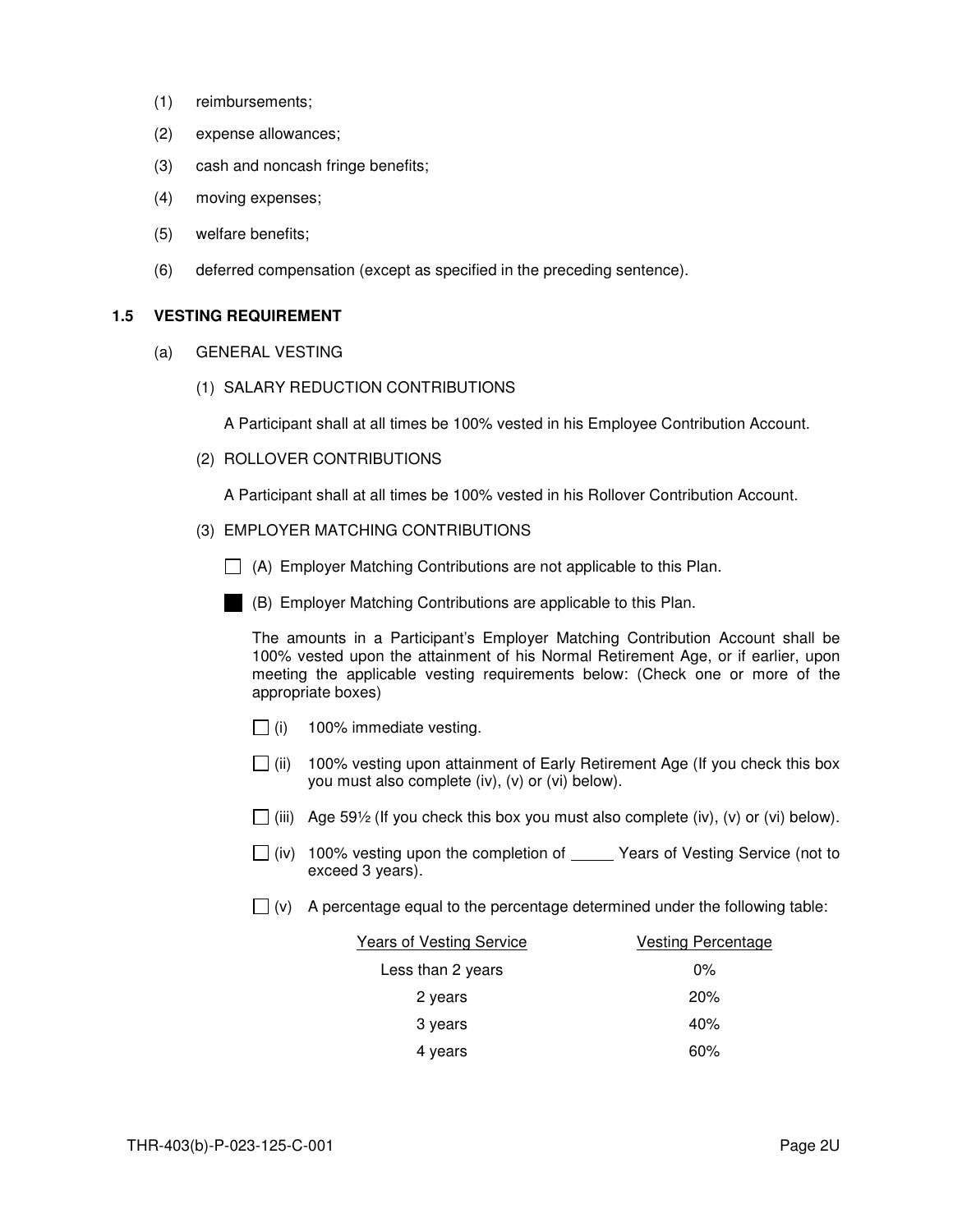- (1) reimbursements;
- (2) expense allowances;
- (3) cash and noncash fringe benefits;
- (4) moving expenses;
- (5) welfare benefits;
- (6) deferred compensation (except as specified in the preceding sentence).

## **1.5 VESTING REQUIREMENT**

- (a) GENERAL VESTING
	- (1) SALARY REDUCTION CONTRIBUTIONS

A Participant shall at all times be 100% vested in his Employee Contribution Account.

(2) ROLLOVER CONTRIBUTIONS

A Participant shall at all times be 100% vested in his Rollover Contribution Account.

- (3) EMPLOYER MATCHING CONTRIBUTIONS
	- $\Box$  (A) Employer Matching Contributions are not applicable to this Plan.



(B) Employer Matching Contributions are applicable to this Plan.

The amounts in a Participant's Employer Matching Contribution Account shall be 100% vested upon the attainment of his Normal Retirement Age, or if earlier, upon meeting the applicable vesting requirements below: (Check one or more of the appropriate boxes)

- $\Box$  (i) 100% immediate vesting.
- $\Box$  (ii) 100% vesting upon attainment of Early Retirement Age (If you check this box you must also complete (iv), (v) or (vi) below).
- (iii) Age 59½ (If you check this box you must also complete (iv), (v) or (vi) below).
- $\Box$  (iv) 100% vesting upon the completion of \_\_\_\_\_ Years of Vesting Service (not to exceed 3 years).
- $\Box$  (v) A percentage equal to the percentage determined under the following table:

| <b>Years of Vesting Service</b> | <b>Vesting Percentage</b> |
|---------------------------------|---------------------------|
| Less than 2 years               | $0\%$                     |
| 2 years                         | 20%                       |
| 3 years                         | 40%                       |
| 4 years                         | 60%                       |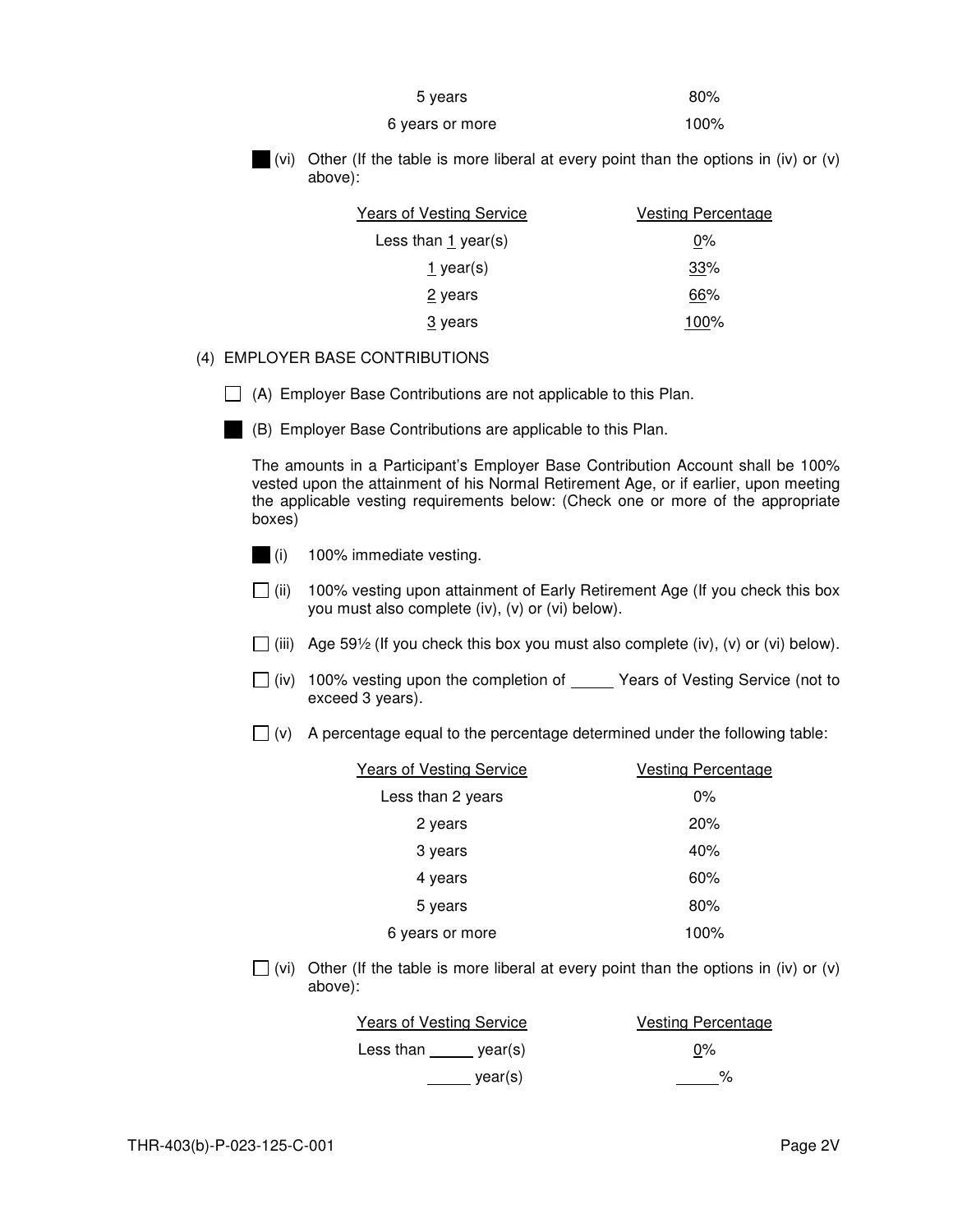| 5 years         | 80%  |
|-----------------|------|
| 6 years or more | 100% |



(vi) Other (If the table is more liberal at every point than the options in (iv) or (v) above):

| Years of Vesting Service | <b>Vesting Percentage</b> |
|--------------------------|---------------------------|
| Less than $1$ year(s)    | $0\%$                     |
| 1 year(s)                | 33%                       |
| 2 years                  | 66%                       |
| 3 years                  | 100%                      |

# (4) EMPLOYER BASE CONTRIBUTIONS

 $\Box$  (A) Employer Base Contributions are not applicable to this Plan.



(B) Employer Base Contributions are applicable to this Plan.

The amounts in a Participant's Employer Base Contribution Account shall be 100% vested upon the attainment of his Normal Retirement Age, or if earlier, upon meeting the applicable vesting requirements below: (Check one or more of the appropriate boxes)



- $\Box$  (ii) 100% vesting upon attainment of Early Retirement Age (If you check this box you must also complete (iv), (v) or (vi) below).
- (iii) Age 59½ (If you check this box you must also complete (iv), (v) or (vi) below).
- $\Box$  (iv) 100% vesting upon the completion of Years of Vesting Service (not to exceed 3 years).
- $\Box$  (v) A percentage equal to the percentage determined under the following table:

| <b>Years of Vesting Service</b> | Vesting Percentage |
|---------------------------------|--------------------|
| Less than 2 years               | $0\%$              |
| 2 years                         | 20%                |
| 3 years                         | 40%                |
| 4 years                         | 60%                |
| 5 years                         | 80%                |
| 6 years or more                 | 100%               |

(vi) Other (If the table is more liberal at every point than the options in (iv) or (v) above):

| <b>Years of Vesting Service</b> |         | Vesting Percentage |
|---------------------------------|---------|--------------------|
| Less than                       | vear(s) | $0\%$              |
|                                 | vear(s) | %                  |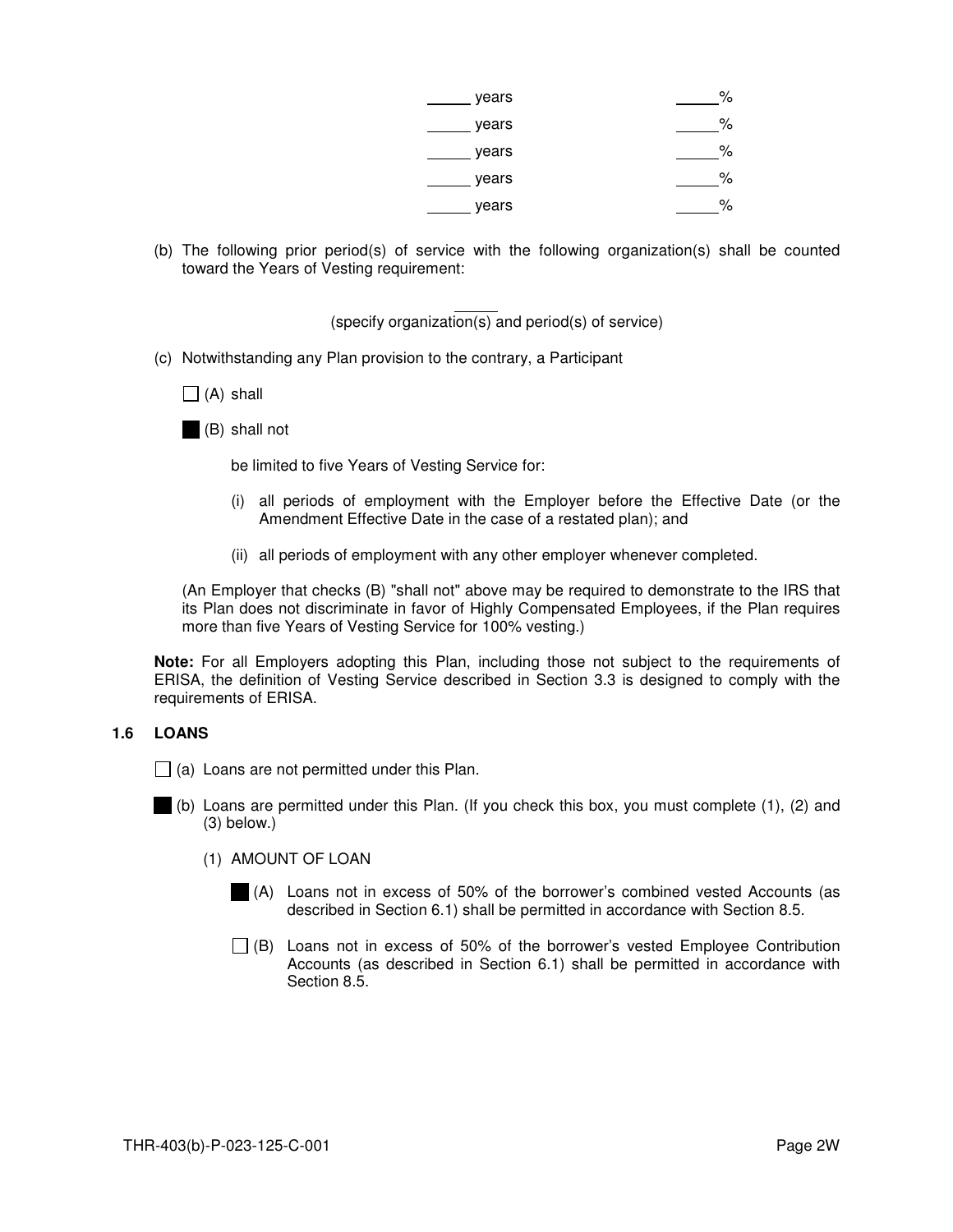| years | %  |
|-------|----|
| years | %  |
| years | ℅  |
| years | %  |
| years | о, |

(b) The following prior period(s) of service with the following organization(s) shall be counted toward the Years of Vesting requirement:

> (specify organization(s) and period(s) of service)

- (c) Notwithstanding any Plan provision to the contrary, a Participant
	- $\prod$  (A) shall
	- (B) shall not

be limited to five Years of Vesting Service for:

- (i) all periods of employment with the Employer before the Effective Date (or the Amendment Effective Date in the case of a restated plan); and
- (ii) all periods of employment with any other employer whenever completed.

(An Employer that checks (B) "shall not" above may be required to demonstrate to the IRS that its Plan does not discriminate in favor of Highly Compensated Employees, if the Plan requires more than five Years of Vesting Service for 100% vesting.)

**Note:** For all Employers adopting this Plan, including those not subject to the requirements of ERISA, the definition of Vesting Service described in Section 3.3 is designed to comply with the requirements of ERISA.

#### **1.6 LOANS**

- $\Box$  (a) Loans are not permitted under this Plan.
- (b) Loans are permitted under this Plan. (If you check this box, you must complete (1), (2) and (3) below.)
	- (1) AMOUNT OF LOAN
		- (A) Loans not in excess of 50% of the borrower's combined vested Accounts (as described in Section 6.1) shall be permitted in accordance with Section 8.5.
		- $\Box$  (B) Loans not in excess of 50% of the borrower's vested Employee Contribution Accounts (as described in Section 6.1) shall be permitted in accordance with Section 8.5.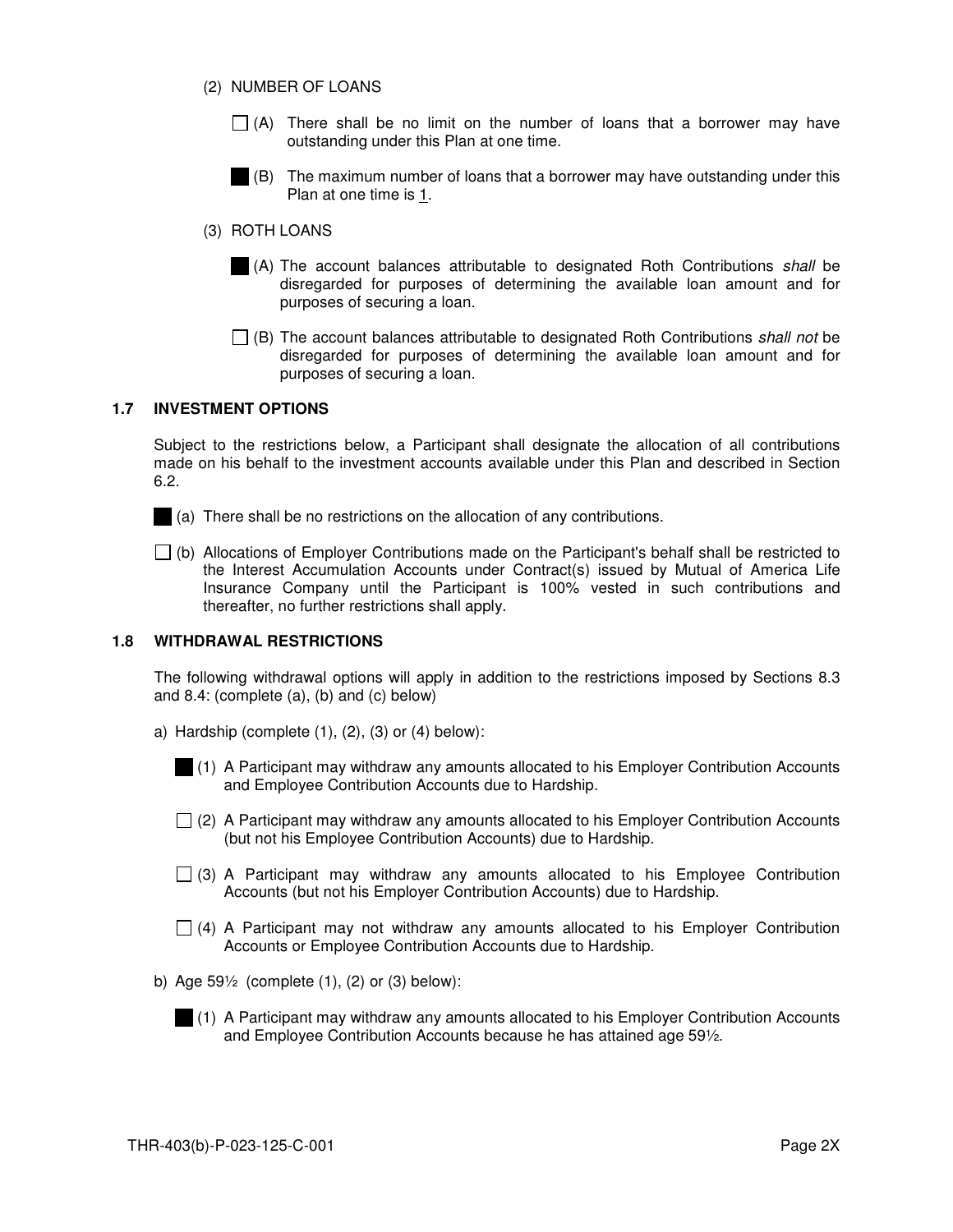- (2) NUMBER OF LOANS
	- $\Box$  (A) There shall be no limit on the number of loans that a borrower may have outstanding under this Plan at one time.
	- (B) The maximum number of loans that a borrower may have outstanding under this Plan at one time is 1.
- (3) ROTH LOANS
	- (A) The account balances attributable to designated Roth Contributions shall be disregarded for purposes of determining the available loan amount and for purposes of securing a loan.
	- $\Box$  (B) The account balances attributable to designated Roth Contributions shall not be disregarded for purposes of determining the available loan amount and for purposes of securing a loan.

## **1.7 INVESTMENT OPTIONS**

Subject to the restrictions below, a Participant shall designate the allocation of all contributions made on his behalf to the investment accounts available under this Plan and described in Section 6.2.

- (a) There shall be no restrictions on the allocation of any contributions.
- $\Box$  (b) Allocations of Employer Contributions made on the Participant's behalf shall be restricted to the Interest Accumulation Accounts under Contract(s) issued by Mutual of America Life Insurance Company until the Participant is 100% vested in such contributions and thereafter, no further restrictions shall apply.

## **1.8 WITHDRAWAL RESTRICTIONS**

The following withdrawal options will apply in addition to the restrictions imposed by Sections 8.3 and 8.4: (complete (a), (b) and (c) below)

- a) Hardship (complete  $(1)$ ,  $(2)$ ,  $(3)$  or  $(4)$  below):
	- (1) A Participant may withdraw any amounts allocated to his Employer Contribution Accounts and Employee Contribution Accounts due to Hardship.
	- $\Box$  (2) A Participant may withdraw any amounts allocated to his Employer Contribution Accounts (but not his Employee Contribution Accounts) due to Hardship.
	- $\Box$  (3) A Participant may withdraw any amounts allocated to his Employee Contribution Accounts (but not his Employer Contribution Accounts) due to Hardship.
	- $\Box$  (4) A Participant may not withdraw any amounts allocated to his Employer Contribution Accounts or Employee Contribution Accounts due to Hardship.
- b) Age 59½ (complete (1), (2) or (3) below):
	- (1) A Participant may withdraw any amounts allocated to his Employer Contribution Accounts and Employee Contribution Accounts because he has attained age 59½.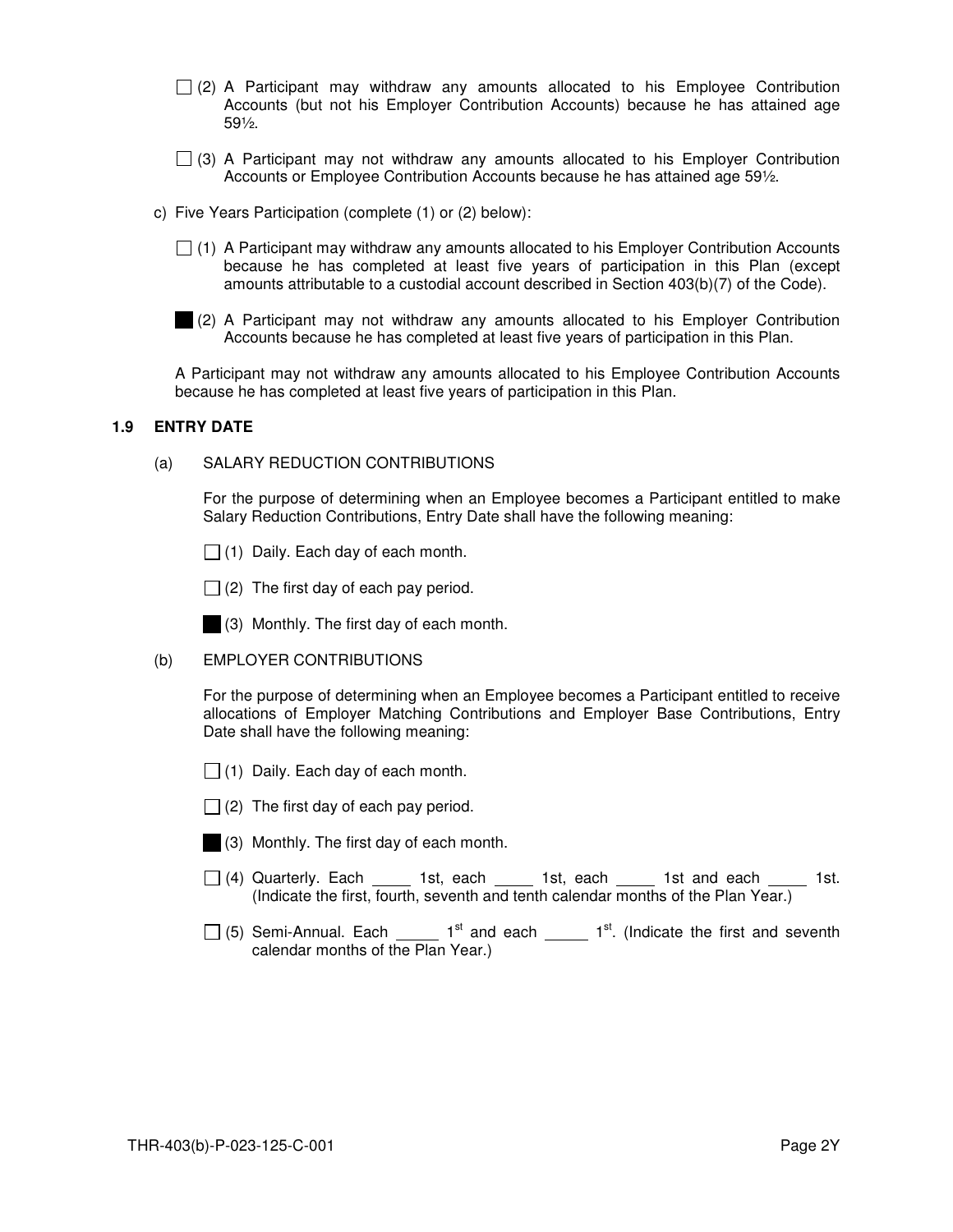- $\Box$  (2) A Participant may withdraw any amounts allocated to his Employee Contribution Accounts (but not his Employer Contribution Accounts) because he has attained age 59½.
- $\Box$  (3) A Participant may not withdraw any amounts allocated to his Employer Contribution Accounts or Employee Contribution Accounts because he has attained age 59½.
- c) Five Years Participation (complete (1) or (2) below):
	- $\Box$  (1) A Participant may withdraw any amounts allocated to his Employer Contribution Accounts because he has completed at least five years of participation in this Plan (except amounts attributable to a custodial account described in Section 403(b)(7) of the Code).
	- (2) A Participant may not withdraw any amounts allocated to his Employer Contribution Accounts because he has completed at least five years of participation in this Plan.

A Participant may not withdraw any amounts allocated to his Employee Contribution Accounts because he has completed at least five years of participation in this Plan.

#### **1.9 ENTRY DATE**

(a) SALARY REDUCTION CONTRIBUTIONS

For the purpose of determining when an Employee becomes a Participant entitled to make Salary Reduction Contributions, Entry Date shall have the following meaning:

 $\Box$  (1) Daily. Each day of each month.

 $\Box$  (2) The first day of each pay period.

(3) Monthly. The first day of each month.

## (b) EMPLOYER CONTRIBUTIONS

For the purpose of determining when an Employee becomes a Participant entitled to receive allocations of Employer Matching Contributions and Employer Base Contributions, Entry Date shall have the following meaning:

- $\Box$  (1) Daily. Each day of each month.
- $\Box$  (2) The first day of each pay period.
- 
- (3) Monthly. The first day of each month.
- $\Box$  (4) Quarterly. Each  $\Box$  1st, each  $\Box$  1st, each  $\Box$  1st and each  $\Box$  1st. (Indicate the first, fourth, seventh and tenth calendar months of the Plan Year.)
- $\Box$  (5) Semi-Annual. Each  $\Box$  1<sup>st</sup> and each  $\Box$  1<sup>st</sup>. (Indicate the first and seventh calendar months of the Plan Year.)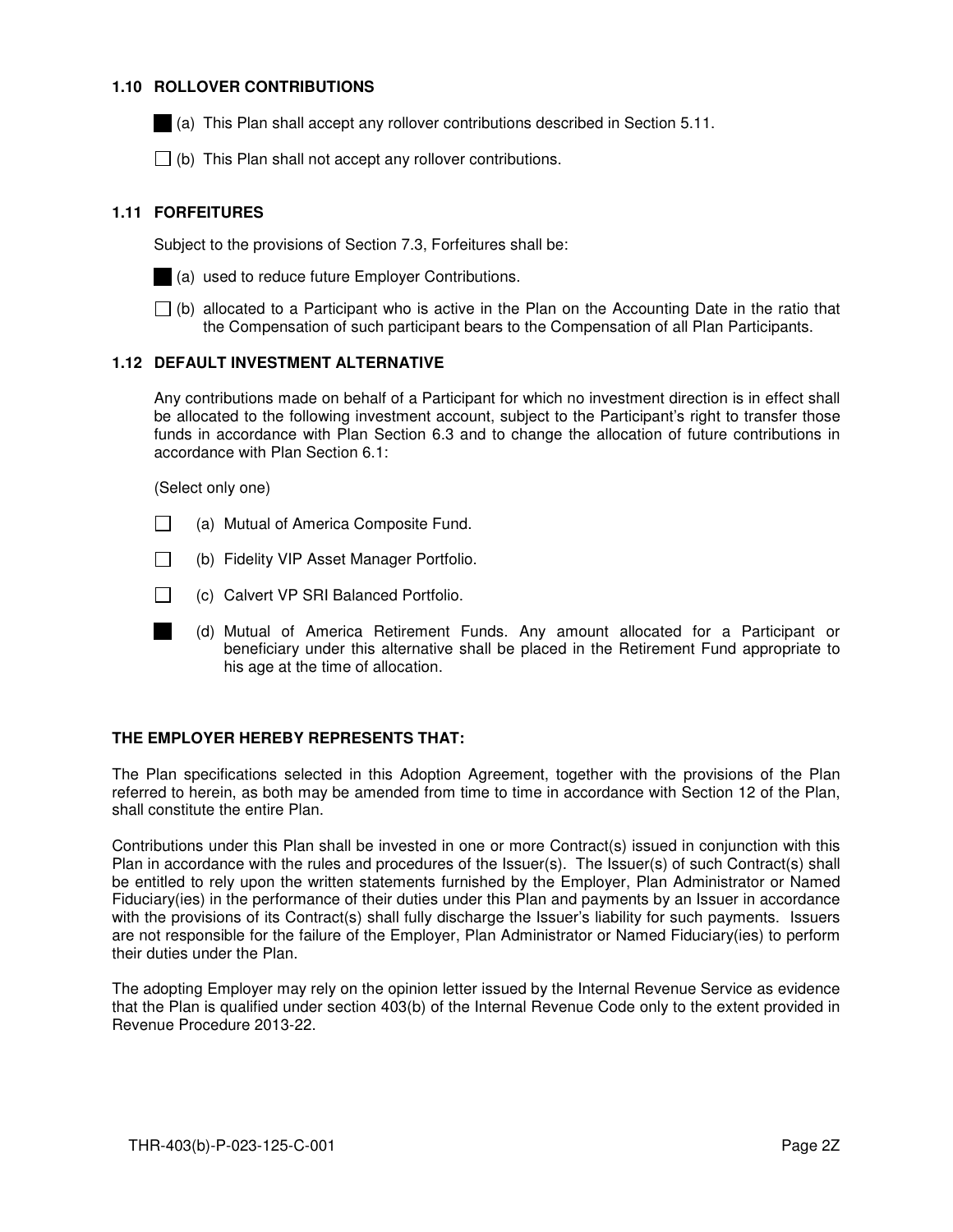## **1.10 ROLLOVER CONTRIBUTIONS**

(a) This Plan shall accept any rollover contributions described in Section 5.11.

 $\Box$  (b) This Plan shall not accept any rollover contributions.

## **1.11 FORFEITURES**

Subject to the provisions of Section 7.3, Forfeitures shall be:



- (a) used to reduce future Employer Contributions.
- $\Box$  (b) allocated to a Participant who is active in the Plan on the Accounting Date in the ratio that the Compensation of such participant bears to the Compensation of all Plan Participants.

## **1.12 DEFAULT INVESTMENT ALTERNATIVE**

Any contributions made on behalf of a Participant for which no investment direction is in effect shall be allocated to the following investment account, subject to the Participant's right to transfer those funds in accordance with Plan Section 6.3 and to change the allocation of future contributions in accordance with Plan Section 6.1:

(Select only one)

- $\Box$  (a) Mutual of America Composite Fund.
- $\Box$ (b) Fidelity VIP Asset Manager Portfolio.
- $\Box$  (c) Calvert VP SRI Balanced Portfolio.
- (d) Mutual of America Retirement Funds. Any amount allocated for a Participant or beneficiary under this alternative shall be placed in the Retirement Fund appropriate to his age at the time of allocation.

## **THE EMPLOYER HEREBY REPRESENTS THAT:**

The Plan specifications selected in this Adoption Agreement, together with the provisions of the Plan referred to herein, as both may be amended from time to time in accordance with Section 12 of the Plan, shall constitute the entire Plan.

Contributions under this Plan shall be invested in one or more Contract(s) issued in conjunction with this Plan in accordance with the rules and procedures of the Issuer(s). The Issuer(s) of such Contract(s) shall be entitled to rely upon the written statements furnished by the Employer, Plan Administrator or Named Fiduciary(ies) in the performance of their duties under this Plan and payments by an Issuer in accordance with the provisions of its Contract(s) shall fully discharge the Issuer's liability for such payments. Issuers are not responsible for the failure of the Employer, Plan Administrator or Named Fiduciary(ies) to perform their duties under the Plan.

The adopting Employer may rely on the opinion letter issued by the Internal Revenue Service as evidence that the Plan is qualified under section 403(b) of the Internal Revenue Code only to the extent provided in Revenue Procedure 2013-22.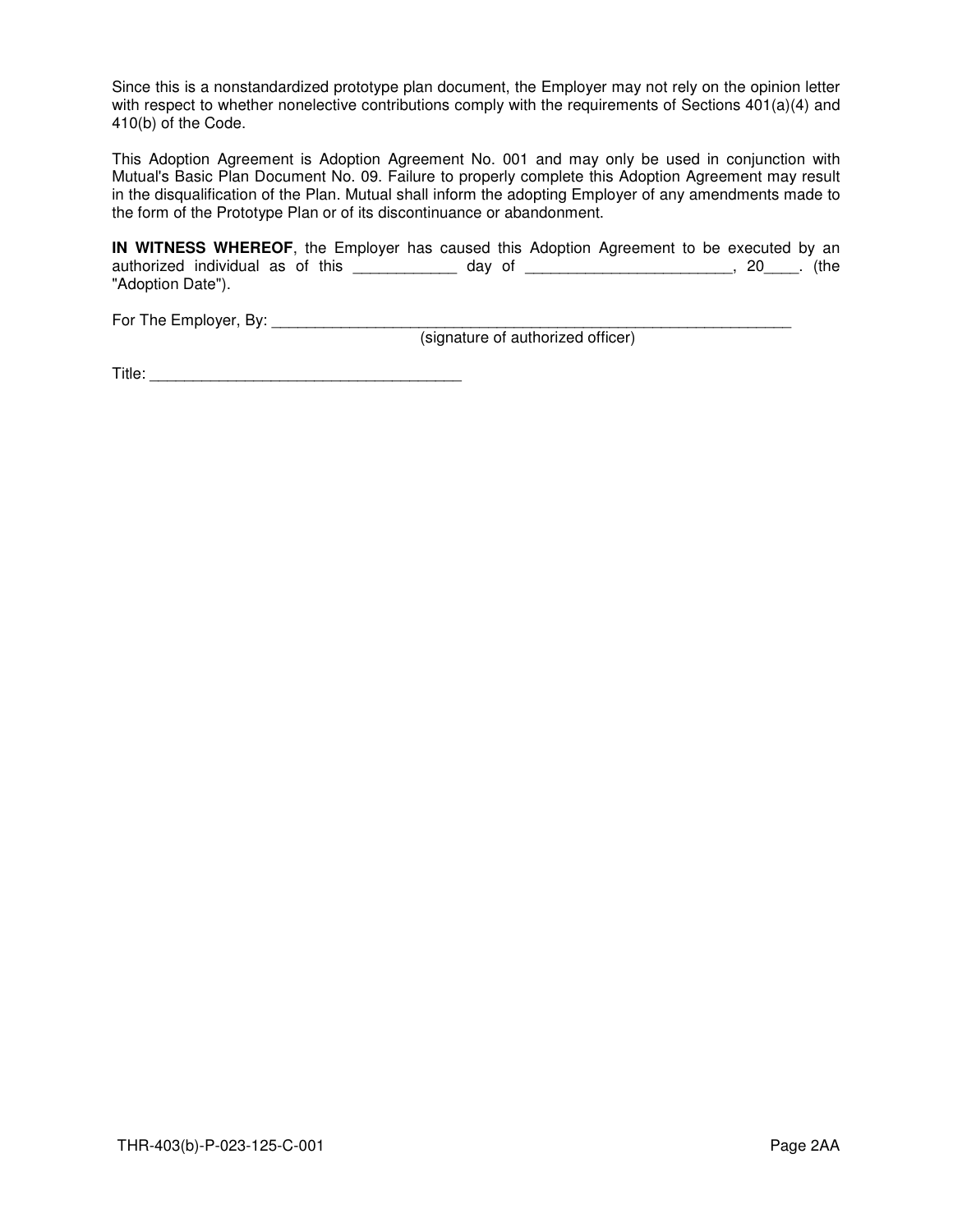Since this is a nonstandardized prototype plan document, the Employer may not rely on the opinion letter with respect to whether nonelective contributions comply with the requirements of Sections 401(a)(4) and 410(b) of the Code.

This Adoption Agreement is Adoption Agreement No. 001 and may only be used in conjunction with Mutual's Basic Plan Document No. 09. Failure to properly complete this Adoption Agreement may result in the disqualification of the Plan. Mutual shall inform the adopting Employer of any amendments made to the form of the Prototype Plan or of its discontinuance or abandonment.

**IN WITNESS WHEREOF**, the Employer has caused this Adoption Agreement to be executed by an authorized individual as of this \_\_\_\_\_\_\_\_\_\_\_\_\_ day of \_\_\_\_\_\_\_\_\_\_\_\_\_\_\_\_\_\_\_\_\_\_\_\_, 20\_\_\_\_. (the "Adoption Date").

For The Employer, By: \_\_\_\_\_\_\_\_\_\_\_\_\_\_\_\_\_\_\_\_\_\_\_\_\_\_\_\_\_\_\_\_\_\_\_\_\_\_\_\_\_\_\_\_\_\_\_\_\_\_\_\_\_\_\_\_\_\_\_\_

(signature of authorized officer)

Title: \_\_\_\_\_\_\_\_\_\_\_\_\_\_\_\_\_\_\_\_\_\_\_\_\_\_\_\_\_\_\_\_\_\_\_\_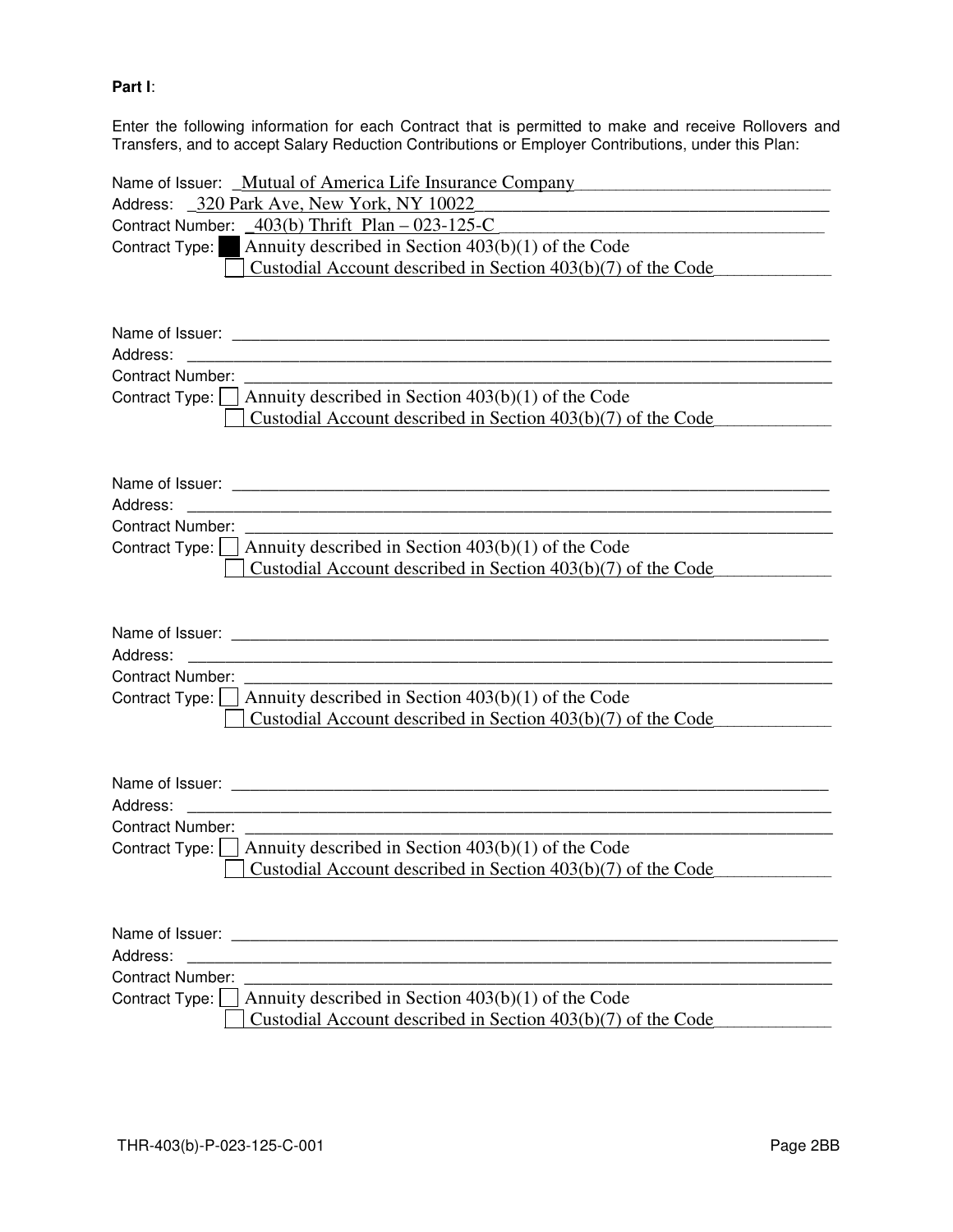# **Part I**:

Enter the following information for each Contract that is permitted to make and receive Rollovers and Transfers, and to accept Salary Reduction Contributions or Employer Contributions, under this Plan:

| Name of Issuer: Mutual of America Life Insurance Company<br>Address: _320 Park Ave, New York, NY 10022<br>Contract Number: $\angle$ 403(b) Thrift Plan – 023-125-C<br>Contract Type: Annuity described in Section $403(b)(1)$ of the Code<br>Custodial Account described in Section $403(b)(7)$ of the Code |
|-------------------------------------------------------------------------------------------------------------------------------------------------------------------------------------------------------------------------------------------------------------------------------------------------------------|
| Address:<br><u> 1980 - John Stoff, der andere stadt i den stadt for de stadt for de stadt for de stadt for de stadt for de s</u><br><b>Contract Number:</b><br>Contract Type: $\vert$ Annuity described in Section 403(b)(1) of the Code<br>Custodial Account described in Section $403(b)(7)$ of the Code  |
| Address:<br><u> 1989 - John Stein, Amerikaansk politiker († 1989)</u><br><b>Contract Number:</b><br>Contract Type: $\vert$ Annuity described in Section 403(b)(1) of the Code<br>Custodial Account described in Section $403(b)(7)$ of the Code                                                             |
| Address:<br><b>Contract Number:</b><br>Contract Type: $\Box$ Annuity described in Section 403(b)(1) of the Code<br>Custodial Account described in Section $403(b)(7)$ of the Code                                                                                                                           |
| Address:<br><b>Contract Number:</b><br>Contract Type: $\Box$ Annuity described in Section 403(b)(1) of the Code<br>Custodial Account described in Section 403(b)(7) of the Code                                                                                                                             |
| Address:<br><u> 1989 - Johann Stoff, amerikansk politiker (d. 1989)</u><br><b>Contract Number:</b><br>Annuity described in Section 403(b)(1) of the Code<br>Contract Type:  <br>Custodial Account described in Section 403(b)(7) of the Code                                                                |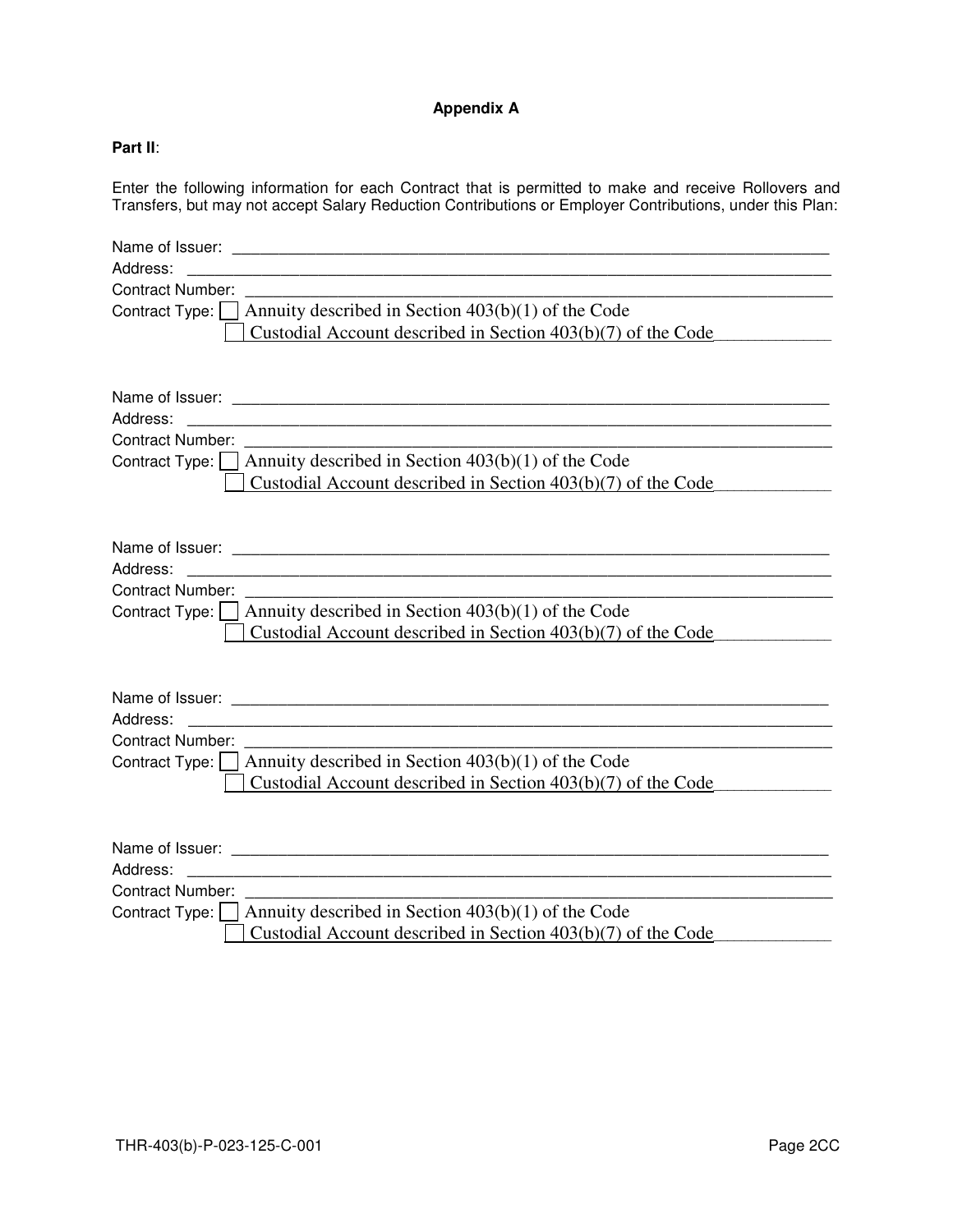# **Appendix A**

# **Part II**:

Enter the following information for each Contract that is permitted to make and receive Rollovers and Transfers, but may not accept Salary Reduction Contributions or Employer Contributions, under this Plan:

| Address:                                                                  |
|---------------------------------------------------------------------------|
| Contract Number:                                                          |
| Contract Type: $\Box$ Annuity described in Section 403(b)(1) of the Code  |
| Custodial Account described in Section $403(b)(7)$ of the Code            |
|                                                                           |
|                                                                           |
|                                                                           |
| Address:                                                                  |
|                                                                           |
| Contract Type: $\Box$ Annuity described in Section 403(b)(1) of the Code  |
| Custodial Account described in Section 403(b)(7) of the Code              |
|                                                                           |
|                                                                           |
|                                                                           |
| Address:<br><u> 1989 - Johann Barn, fransk politik (f. 1989)</u>          |
| Contract Number:                                                          |
| Contract Type: $\Box$ Annuity described in Section 403(b)(1) of the Code  |
| Custodial Account described in Section 403(b)(7) of the Code              |
|                                                                           |
|                                                                           |
|                                                                           |
| Address:                                                                  |
| Contract Number:                                                          |
| Contract Type: $\Box$ Annuity described in Section 403(b)(1) of the Code  |
| Custodial Account described in Section $403(b)(7)$ of the Code            |
|                                                                           |
|                                                                           |
|                                                                           |
| Address:                                                                  |
| <b>Contract Number:</b>                                                   |
| Contract Type: $\vert$ Annuity described in Section 403(b)(1) of the Code |
| Custodial Account described in Section 403(b)(7) of the Code              |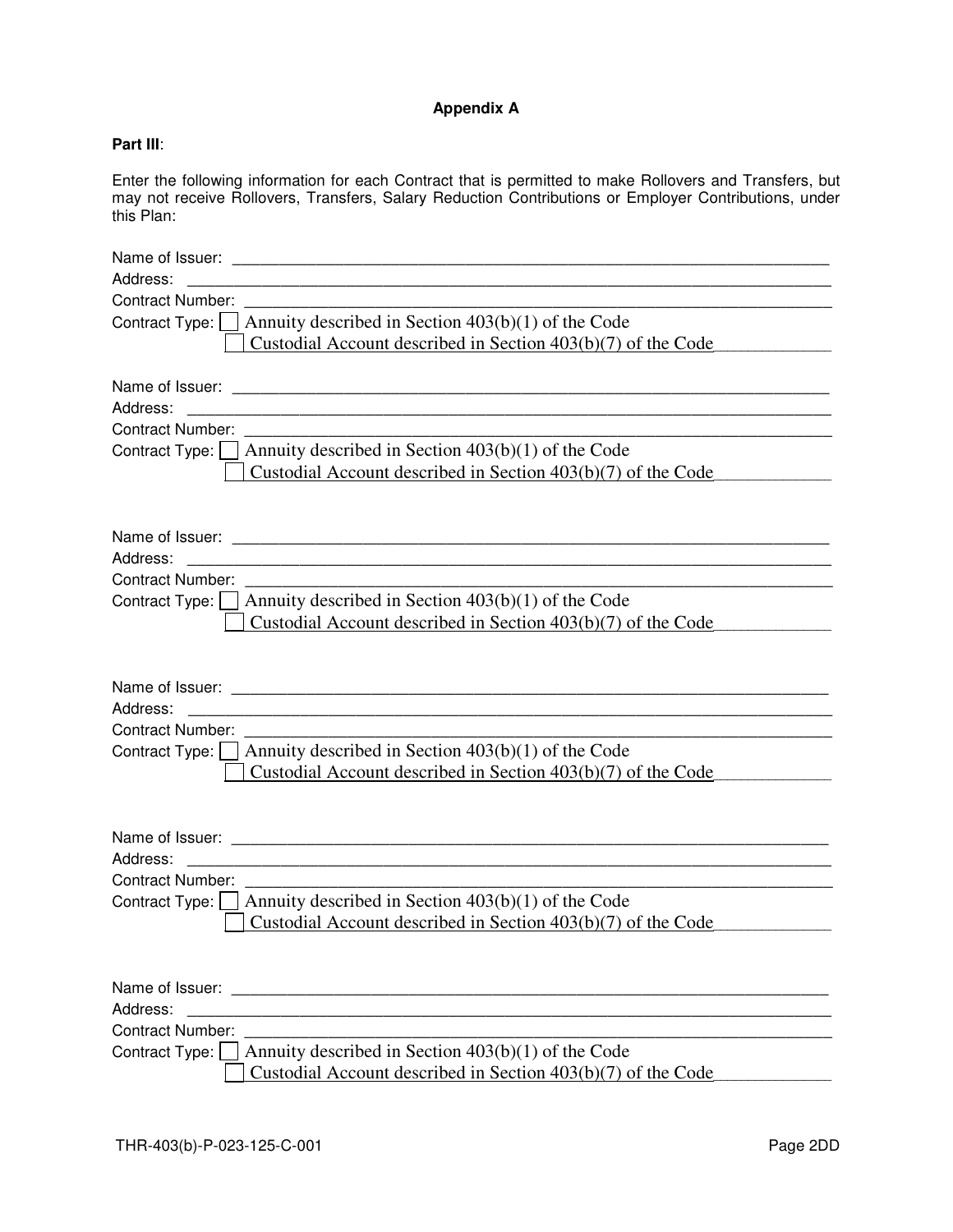# **Appendix A**

# **Part III**:

Enter the following information for each Contract that is permitted to make Rollovers and Transfers, but may not receive Rollovers, Transfers, Salary Reduction Contributions or Employer Contributions, under this Plan:

| Address:<br><u> 1989 - Johann Harry Harry Harry Harry Harry Harry Harry Harry Harry Harry Harry Harry Harry Harry Harry Harry</u>  |
|------------------------------------------------------------------------------------------------------------------------------------|
| <b>Contract Number:</b>                                                                                                            |
| Contract Type: $\Box$ Annuity described in Section 403(b)(1) of the Code                                                           |
| Custodial Account described in Section $403(b)(7)$ of the Code                                                                     |
|                                                                                                                                    |
|                                                                                                                                    |
| Address:<br><u> 1989 - Johann John Harry Harry Harry Harry Harry Harry Harry Harry Harry Harry Harry Harry Harry Harry Harry H</u> |
| Contract Number:                                                                                                                   |
| Contract Type: $\Box$ Annuity described in Section 403(b)(1) of the Code                                                           |
| Custodial Account described in Section $403(b)(7)$ of the Code                                                                     |
|                                                                                                                                    |
|                                                                                                                                    |
|                                                                                                                                    |
| Address:                                                                                                                           |
| <b>Contract Number:</b>                                                                                                            |
| Contract Type: $\Box$ Annuity described in Section 403(b)(1) of the Code                                                           |
| Custodial Account described in Section $403(b)(7)$ of the Code                                                                     |
|                                                                                                                                    |
|                                                                                                                                    |
|                                                                                                                                    |
| Address:                                                                                                                           |
| <b>Contract Number:</b>                                                                                                            |
| Contract Type: $\vert$ Annuity described in Section 403(b)(1) of the Code                                                          |
| Custodial Account described in Section $403(b)(7)$ of the Code                                                                     |
|                                                                                                                                    |
|                                                                                                                                    |
|                                                                                                                                    |
| Address:                                                                                                                           |
| <b>Contract Number:</b>                                                                                                            |
| Contract Type: $\vert$ Annuity described in Section 403(b)(1) of the Code                                                          |
| Custodial Account described in Section $403(b)(7)$ of the Code                                                                     |
|                                                                                                                                    |
|                                                                                                                                    |
|                                                                                                                                    |
| Address:                                                                                                                           |
| <b>Contract Number:</b>                                                                                                            |
| Annuity described in Section $403(b)(1)$ of the Code<br>Contract Type:                                                             |
| Custodial Account described in Section 403(b)(7) of the Code                                                                       |